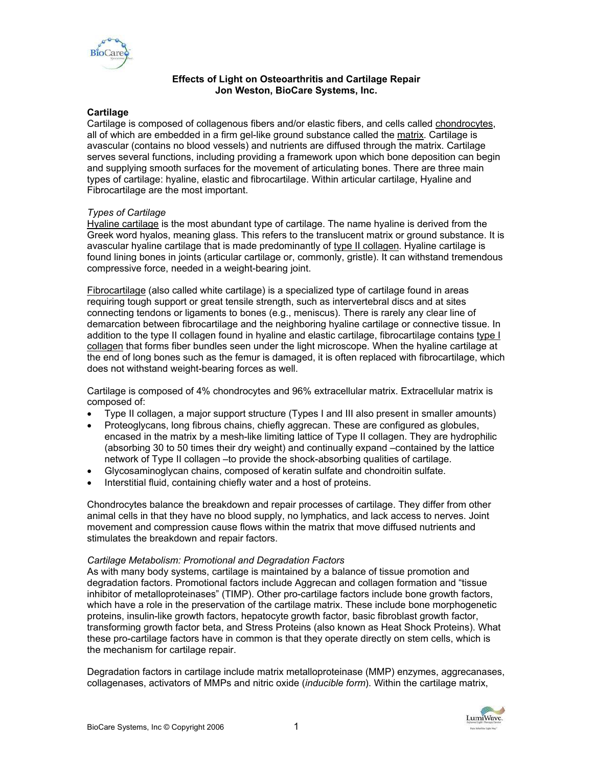

### **Effects of Light on Osteoarthritis and Cartilage Repair Jon Weston, BioCare Systems, Inc.**

#### **Cartilage**

Cartilage is composed of collagenous fibers and/or elastic fibers, and cells called chondrocytes, all of which are embedded in a firm gel-like ground substance called the matrix. Cartilage is avascular (contains no blood vessels) and nutrients are diffused through the matrix. Cartilage serves several functions, including providing a framework upon which bone deposition can begin and supplying smooth surfaces for the movement of articulating bones. There are three main types of cartilage: hyaline, elastic and fibrocartilage. Within articular cartilage, Hyaline and Fibrocartilage are the most important.

#### *Types of Cartilage*

Hyaline cartilage is the most abundant type of cartilage. The name hyaline is derived from the Greek word hyalos, meaning glass. This refers to the translucent matrix or ground substance. It is avascular hyaline cartilage that is made predominantly of type II collagen. Hyaline cartilage is found lining bones in joints (articular cartilage or, commonly, gristle). It can withstand tremendous compressive force, needed in a weight-bearing joint.

Fibrocartilage (also called white cartilage) is a specialized type of cartilage found in areas requiring tough support or great tensile strength, such as intervertebral discs and at sites connecting tendons or ligaments to bones (e.g., meniscus). There is rarely any clear line of demarcation between fibrocartilage and the neighboring hyaline cartilage or connective tissue. In addition to the type II collagen found in hyaline and elastic cartilage, fibrocartilage contains type I collagen that forms fiber bundles seen under the light microscope. When the hyaline cartilage at the end of long bones such as the femur is damaged, it is often replaced with fibrocartilage, which does not withstand weight-bearing forces as well.

Cartilage is composed of 4% chondrocytes and 96% extracellular matrix. Extracellular matrix is composed of:

- ! Type II collagen, a major support structure (Types I and III also present in smaller amounts)
- ! Proteoglycans, long fibrous chains, chiefly aggrecan. These are configured as globules, encased in the matrix by a mesh-like limiting lattice of Type II collagen. They are hydrophilic (absorbing 30 to 50 times their dry weight) and continually expand –contained by the lattice network of Type II collagen –to provide the shock-absorbing qualities of cartilage.
- ! Glycosaminoglycan chains, composed of keratin sulfate and chondroitin sulfate.
- Interstitial fluid, containing chiefly water and a host of proteins.

Chondrocytes balance the breakdown and repair processes of cartilage. They differ from other animal cells in that they have no blood supply, no lymphatics, and lack access to nerves. Joint movement and compression cause flows within the matrix that move diffused nutrients and stimulates the breakdown and repair factors.

#### *Cartilage Metabolism: Promotional and Degradation Factors*

As with many body systems, cartilage is maintained by a balance of tissue promotion and degradation factors. Promotional factors include Aggrecan and collagen formation and "tissue inhibitor of metalloproteinases" (TIMP). Other pro-cartilage factors include bone growth factors, which have a role in the preservation of the cartilage matrix. These include bone morphogenetic proteins, insulin-like growth factors, hepatocyte growth factor, basic fibroblast growth factor, transforming growth factor beta, and Stress Proteins (also known as Heat Shock Proteins). What these pro-cartilage factors have in common is that they operate directly on stem cells, which is the mechanism for cartilage repair.

Degradation factors in cartilage include matrix metalloproteinase (MMP) enzymes, aggrecanases, collagenases, activators of MMPs and nitric oxide (*inducible form*). Within the cartilage matrix,

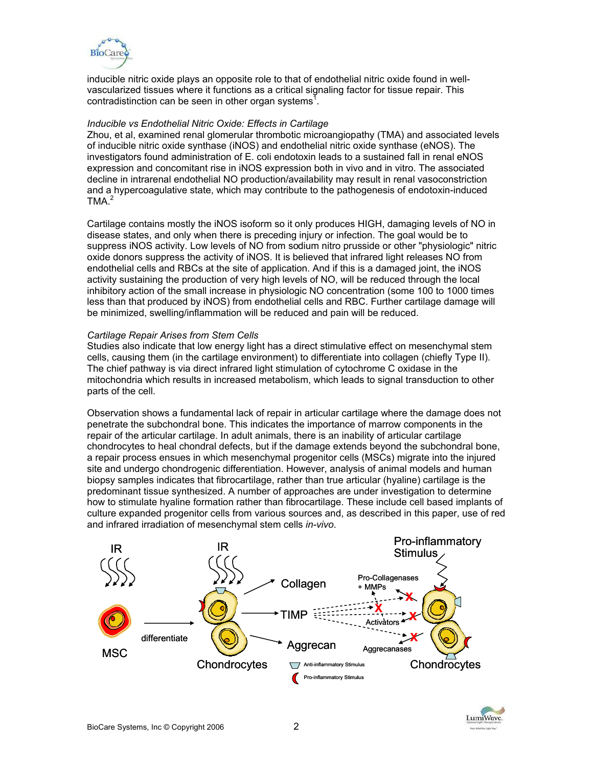

inducible nitric oxide plays an opposite role to that of endothelial nitric oxide found in wellvascularized tissues where it functions as a critical signaling factor for tissue repair. This contradistinction can be seen in other organ systems<sup>7</sup>.

#### *Inducible vs Endothelial Nitric Oxide: Effects in Cartilage*

Zhou, et al, examined renal glomerular thrombotic microangiopathy (TMA) and associated levels of inducible nitric oxide synthase (iNOS) and endothelial nitric oxide synthase (eNOS). The investigators found administration of E. coli endotoxin leads to a sustained fall in renal eNOS expression and concomitant rise in iNOS expression both in vivo and in vitro. The associated decline in intrarenal endothelial NO production/availability may result in renal vasoconstriction and a hypercoagulative state, which may contribute to the pathogenesis of endotoxin-induced  $TMA.<sup>2</sup>$ 

Cartilage contains mostly the iNOS isoform so it only produces HIGH, damaging levels of NO in disease states, and only when there is preceding injury or infection. The goal would be to suppress iNOS activity. Low levels of NO from sodium nitro prusside or other "physiologic" nitric oxide donors suppress the activity of iNOS. It is believed that infrared light releases NO from endothelial cells and RBCs at the site of application. And if this is a damaged joint, the iNOS activity sustaining the production of very high levels of NO, will be reduced through the local inhibitory action of the small increase in physiologic NO concentration (some 100 to 1000 times less than that produced by iNOS) from endothelial cells and RBC. Further cartilage damage will be minimized, swelling/inflammation will be reduced and pain will be reduced.

#### *Cartilage Repair Arises from Stem Cells*

Studies also indicate that low energy light has a direct stimulative effect on mesenchymal stem cells, causing them (in the cartilage environment) to differentiate into collagen (chiefly Type II). The chief pathway is via direct infrared light stimulation of cytochrome C oxidase in the mitochondria which results in increased metabolism, which leads to signal transduction to other parts of the cell.

Observation shows a fundamental lack of repair in articular cartilage where the damage does not penetrate the subchondral bone. This indicates the importance of marrow components in the repair of the articular cartilage. In adult animals, there is an inability of articular cartilage chondrocytes to heal chondral defects, but if the damage extends beyond the subchondral bone, a repair process ensues in which mesenchymal progenitor cells (MSCs) migrate into the injured site and undergo chondrogenic differentiation. However, analysis of animal models and human biopsy samples indicates that fibrocartilage, rather than true articular (hyaline) cartilage is the predominant tissue synthesized. A number of approaches are under investigation to determine how to stimulate hyaline formation rather than fibrocartilage. These include cell based implants of culture expanded progenitor cells from various sources and, as described in this paper, use of red and infrared irradiation of mesenchymal stem cells *in-vivo*.



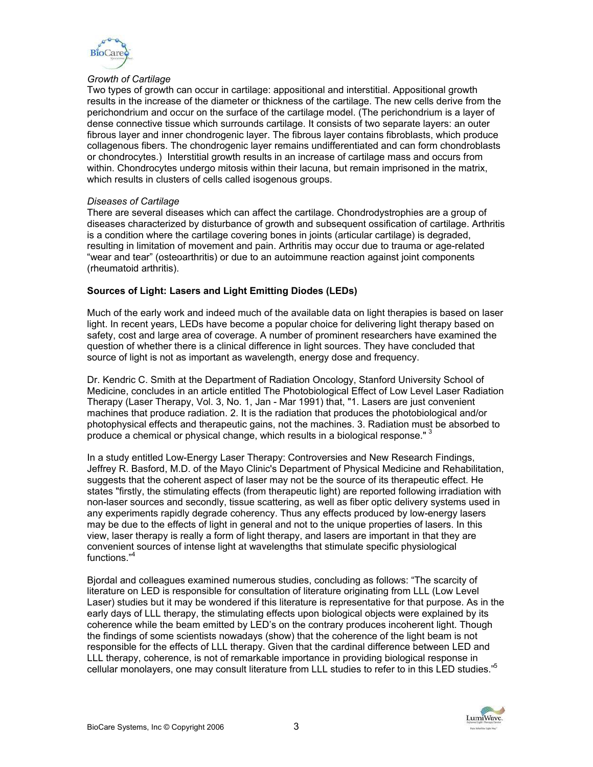

#### *Growth of Cartilage*

Two types of growth can occur in cartilage: appositional and interstitial. Appositional growth results in the increase of the diameter or thickness of the cartilage. The new cells derive from the perichondrium and occur on the surface of the cartilage model. (The perichondrium is a layer of dense connective tissue which surrounds cartilage. It consists of two separate layers: an outer fibrous layer and inner chondrogenic layer. The fibrous layer contains fibroblasts, which produce collagenous fibers. The chondrogenic layer remains undifferentiated and can form chondroblasts or chondrocytes.) Interstitial growth results in an increase of cartilage mass and occurs from within. Chondrocytes undergo mitosis within their lacuna, but remain imprisoned in the matrix, which results in clusters of cells called isogenous groups.

### *Diseases of Cartilage*

There are several diseases which can affect the cartilage. Chondrodystrophies are a group of diseases characterized by disturbance of growth and subsequent ossification of cartilage. Arthritis is a condition where the cartilage covering bones in joints (articular cartilage) is degraded, resulting in limitation of movement and pain. Arthritis may occur due to trauma or age-related "wear and tear" (osteoarthritis) or due to an autoimmune reaction against joint components (rheumatoid arthritis).

## **Sources of Light: Lasers and Light Emitting Diodes (LEDs)**

Much of the early work and indeed much of the available data on light therapies is based on laser light. In recent years, LEDs have become a popular choice for delivering light therapy based on safety, cost and large area of coverage. A number of prominent researchers have examined the question of whether there is a clinical difference in light sources. They have concluded that source of light is not as important as wavelength, energy dose and frequency.

Dr. Kendric C. Smith at the Department of Radiation Oncology, Stanford University School of Medicine, concludes in an article entitled The Photobiological Effect of Low Level Laser Radiation Therapy (Laser Therapy, Vol. 3, No. 1, Jan - Mar 1991) that, "1. Lasers are just convenient machines that produce radiation. 2. It is the radiation that produces the photobiological and/or photophysical effects and therapeutic gains, not the machines. 3. Radiation must be absorbed to produce a chemical or physical change, which results in a biological response."

In a study entitled Low-Energy Laser Therapy: Controversies and New Research Findings, Jeffrey R. Basford, M.D. of the Mayo Clinic's Department of Physical Medicine and Rehabilitation, suggests that the coherent aspect of laser may not be the source of its therapeutic effect. He states "firstly, the stimulating effects (from therapeutic light) are reported following irradiation with non-laser sources and secondly, tissue scattering, as well as fiber optic delivery systems used in any experiments rapidly degrade coherency. Thus any effects produced by low-energy lasers may be due to the effects of light in general and not to the unique properties of lasers. In this view, laser therapy is really a form of light therapy, and lasers are important in that they are convenient sources of intense light at wavelengths that stimulate specific physiological functions."<sup>4</sup>

Bjordal and colleagues examined numerous studies, concluding as follows: "The scarcity of literature on LED is responsible for consultation of literature originating from LLL (Low Level Laser) studies but it may be wondered if this literature is representative for that purpose. As in the early days of LLL therapy, the stimulating effects upon biological objects were explained by its coherence while the beam emitted by LED's on the contrary produces incoherent light. Though the findings of some scientists nowadays (show) that the coherence of the light beam is not responsible for the effects of LLL therapy. Given that the cardinal difference between LED and LLL therapy, coherence, is not of remarkable importance in providing biological response in cellular monolayers, one may consult literature from LLL studies to refer to in this LED studies."<sup>5</sup>

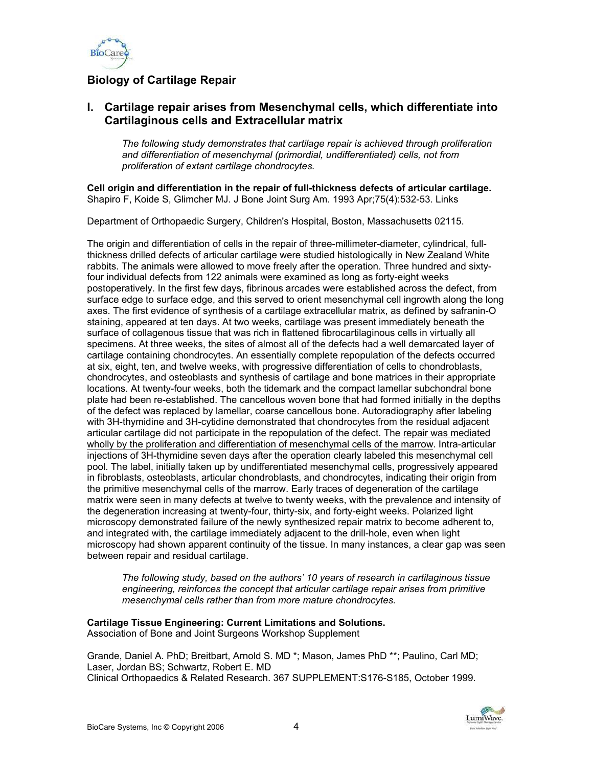

# **Biology of Cartilage Repair**

# **I. Cartilage repair arises from Mesenchymal cells, which differentiate into Cartilaginous cells and Extracellular matrix**

*The following study demonstrates that cartilage repair is achieved through proliferation and differentiation of mesenchymal (primordial, undifferentiated) cells, not from proliferation of extant cartilage chondrocytes.* 

**Cell origin and differentiation in the repair of full-thickness defects of articular cartilage.** Shapiro F, Koide S, Glimcher MJ. J Bone Joint Surg Am. 1993 Apr;75(4):532-53. Links

Department of Orthopaedic Surgery, Children's Hospital, Boston, Massachusetts 02115.

The origin and differentiation of cells in the repair of three-millimeter-diameter, cylindrical, fullthickness drilled defects of articular cartilage were studied histologically in New Zealand White rabbits. The animals were allowed to move freely after the operation. Three hundred and sixtyfour individual defects from 122 animals were examined as long as forty-eight weeks postoperatively. In the first few days, fibrinous arcades were established across the defect, from surface edge to surface edge, and this served to orient mesenchymal cell ingrowth along the long axes. The first evidence of synthesis of a cartilage extracellular matrix, as defined by safranin-O staining, appeared at ten days. At two weeks, cartilage was present immediately beneath the surface of collagenous tissue that was rich in flattened fibrocartilaginous cells in virtually all specimens. At three weeks, the sites of almost all of the defects had a well demarcated layer of cartilage containing chondrocytes. An essentially complete repopulation of the defects occurred at six, eight, ten, and twelve weeks, with progressive differentiation of cells to chondroblasts, chondrocytes, and osteoblasts and synthesis of cartilage and bone matrices in their appropriate locations. At twenty-four weeks, both the tidemark and the compact lamellar subchondral bone plate had been re-established. The cancellous woven bone that had formed initially in the depths of the defect was replaced by lamellar, coarse cancellous bone. Autoradiography after labeling with 3H-thymidine and 3H-cytidine demonstrated that chondrocytes from the residual adjacent articular cartilage did not participate in the repopulation of the defect. The repair was mediated wholly by the proliferation and differentiation of mesenchymal cells of the marrow. Intra-articular injections of 3H-thymidine seven days after the operation clearly labeled this mesenchymal cell pool. The label, initially taken up by undifferentiated mesenchymal cells, progressively appeared in fibroblasts, osteoblasts, articular chondroblasts, and chondrocytes, indicating their origin from the primitive mesenchymal cells of the marrow. Early traces of degeneration of the cartilage matrix were seen in many defects at twelve to twenty weeks, with the prevalence and intensity of the degeneration increasing at twenty-four, thirty-six, and forty-eight weeks. Polarized light microscopy demonstrated failure of the newly synthesized repair matrix to become adherent to, and integrated with, the cartilage immediately adjacent to the drill-hole, even when light microscopy had shown apparent continuity of the tissue. In many instances, a clear gap was seen between repair and residual cartilage.

*The following study, based on the authors' 10 years of research in cartilaginous tissue engineering, reinforces the concept that articular cartilage repair arises from primitive mesenchymal cells rather than from more mature chondrocytes.* 

#### **Cartilage Tissue Engineering: Current Limitations and Solutions.**  Association of Bone and Joint Surgeons Workshop Supplement

Grande, Daniel A. PhD; Breitbart, Arnold S. MD \*; Mason, James PhD \*\*; Paulino, Carl MD; Laser, Jordan BS; Schwartz, Robert E. MD Clinical Orthopaedics & Related Research. 367 SUPPLEMENT:S176-S185, October 1999.

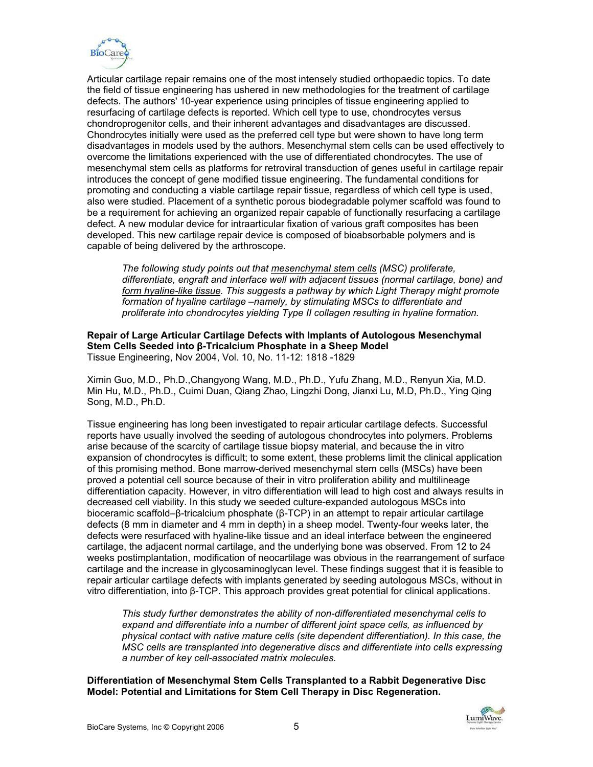

Articular cartilage repair remains one of the most intensely studied orthopaedic topics. To date the field of tissue engineering has ushered in new methodologies for the treatment of cartilage defects. The authors' 10-year experience using principles of tissue engineering applied to resurfacing of cartilage defects is reported. Which cell type to use, chondrocytes versus chondroprogenitor cells, and their inherent advantages and disadvantages are discussed. Chondrocytes initially were used as the preferred cell type but were shown to have long term disadvantages in models used by the authors. Mesenchymal stem cells can be used effectively to overcome the limitations experienced with the use of differentiated chondrocytes. The use of mesenchymal stem cells as platforms for retroviral transduction of genes useful in cartilage repair introduces the concept of gene modified tissue engineering. The fundamental conditions for promoting and conducting a viable cartilage repair tissue, regardless of which cell type is used, also were studied. Placement of a synthetic porous biodegradable polymer scaffold was found to be a requirement for achieving an organized repair capable of functionally resurfacing a cartilage defect. A new modular device for intraarticular fixation of various graft composites has been developed. This new cartilage repair device is composed of bioabsorbable polymers and is capable of being delivered by the arthroscope.

*The following study points out that mesenchymal stem cells (MSC) proliferate, differentiate, engraft and interface well with adjacent tissues (normal cartilage, bone) and form hyaline-like tissue. This suggests a pathway by which Light Therapy might promote formation of hyaline cartilage –namely, by stimulating MSCs to differentiate and proliferate into chondrocytes yielding Type II collagen resulting in hyaline formation.* 

**Repair of Large Articular Cartilage Defects with Implants of Autologous Mesenchymal**  Stem Cells Seeded into **ß-Tricalcium Phosphate in a Sheep Model** Tissue Engineering, Nov 2004, Vol. 10, No. 11-12: 1818 -1829

Ximin Guo, M.D., Ph.D.,Changyong Wang, M.D., Ph.D., Yufu Zhang, M.D., Renyun Xia, M.D. Min Hu, M.D., Ph.D., Cuimi Duan, Qiang Zhao, Lingzhi Dong, Jianxi Lu, M.D, Ph.D., Ying Qing Song, M.D., Ph.D.

Tissue engineering has long been investigated to repair articular cartilage defects. Successful reports have usually involved the seeding of autologous chondrocytes into polymers. Problems arise because of the scarcity of cartilage tissue biopsy material, and because the in vitro expansion of chondrocytes is difficult; to some extent, these problems limit the clinical application of this promising method. Bone marrow-derived mesenchymal stem cells (MSCs) have been proved a potential cell source because of their in vitro proliferation ability and multilineage differentiation capacity. However, in vitro differentiation will lead to high cost and always results in decreased cell viability. In this study we seeded culture-expanded autologous MSCs into bioceramic scaffold– $\beta$ -tricalcium phosphate ( $\beta$ -TCP) in an attempt to repair articular cartilage defects (8 mm in diameter and 4 mm in depth) in a sheep model. Twenty-four weeks later, the defects were resurfaced with hyaline-like tissue and an ideal interface between the engineered cartilage, the adjacent normal cartilage, and the underlying bone was observed. From 12 to 24 weeks postimplantation, modification of neocartilage was obvious in the rearrangement of surface cartilage and the increase in glycosaminoglycan level. These findings suggest that it is feasible to repair articular cartilage defects with implants generated by seeding autologous MSCs, without in vitro differentiation, into  $\beta$ -TCP. This approach provides great potential for clinical applications.

*This study further demonstrates the ability of non-differentiated mesenchymal cells to expand and differentiate into a number of different joint space cells, as influenced by physical contact with native mature cells (site dependent differentiation). In this case, the MSC cells are transplanted into degenerative discs and differentiate into cells expressing a number of key cell-associated matrix molecules.* 

**Differentiation of Mesenchymal Stem Cells Transplanted to a Rabbit Degenerative Disc Model: Potential and Limitations for Stem Cell Therapy in Disc Regeneration.** 

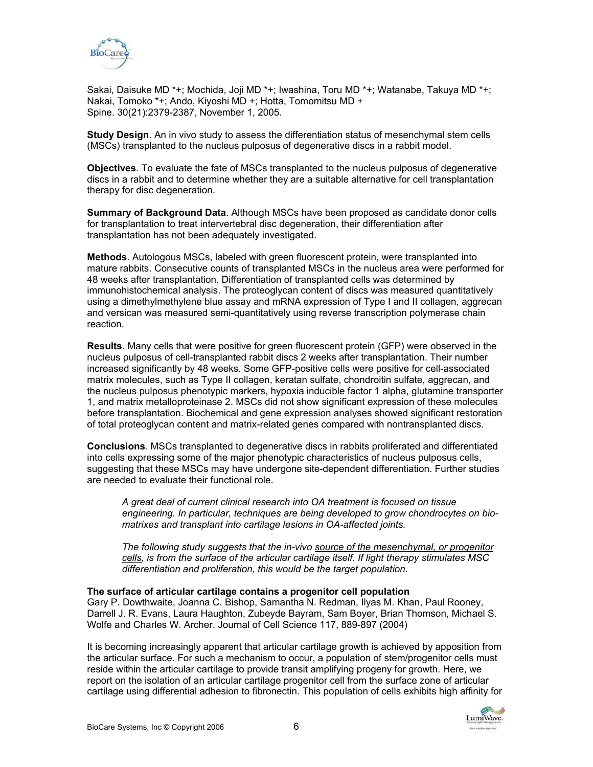

Sakai, Daisuke MD \*+; Mochida, Joji MD \*+; Iwashina, Toru MD \*+; Watanabe, Takuya MD \*+; Nakai, Tomoko \*+; Ando, Kiyoshi MD +; Hotta, Tomomitsu MD + Spine. 30(21):2379-2387, November 1, 2005.

**Study Design**. An in vivo study to assess the differentiation status of mesenchymal stem cells (MSCs) transplanted to the nucleus pulposus of degenerative discs in a rabbit model.

**Objectives**. To evaluate the fate of MSCs transplanted to the nucleus pulposus of degenerative discs in a rabbit and to determine whether they are a suitable alternative for cell transplantation therapy for disc degeneration.

**Summary of Background Data**. Although MSCs have been proposed as candidate donor cells for transplantation to treat intervertebral disc degeneration, their differentiation after transplantation has not been adequately investigated.

**Methods**. Autologous MSCs, labeled with green fluorescent protein, were transplanted into mature rabbits. Consecutive counts of transplanted MSCs in the nucleus area were performed for 48 weeks after transplantation. Differentiation of transplanted cells was determined by immunohistochemical analysis. The proteoglycan content of discs was measured quantitatively using a dimethylmethylene blue assay and mRNA expression of Type I and II collagen, aggrecan and versican was measured semi-quantitatively using reverse transcription polymerase chain reaction.

**Results**. Many cells that were positive for green fluorescent protein (GFP) were observed in the nucleus pulposus of cell-transplanted rabbit discs 2 weeks after transplantation. Their number increased significantly by 48 weeks. Some GFP-positive cells were positive for cell-associated matrix molecules, such as Type II collagen, keratan sulfate, chondroitin sulfate, aggrecan, and the nucleus pulposus phenotypic markers, hypoxia inducible factor 1 alpha, glutamine transporter 1, and matrix metalloproteinase 2. MSCs did not show significant expression of these molecules before transplantation. Biochemical and gene expression analyses showed significant restoration of total proteoglycan content and matrix-related genes compared with nontransplanted discs.

**Conclusions**. MSCs transplanted to degenerative discs in rabbits proliferated and differentiated into cells expressing some of the major phenotypic characteristics of nucleus pulposus cells, suggesting that these MSCs may have undergone site-dependent differentiation. Further studies are needed to evaluate their functional role.

*A great deal of current clinical research into OA treatment is focused on tissue engineering. In particular, techniques are being developed to grow chondrocytes on biomatrixes and transplant into cartilage lesions in OA-affected joints.* 

*The following study suggests that the in-vivo source of the mesenchymal, or progenitor cells, is from the surface of the articular cartilage itself. If light therapy stimulates MSC differentiation and proliferation, this would be the target population.* 

#### **The surface of articular cartilage contains a progenitor cell population**

Gary P. Dowthwaite, Joanna C. Bishop, Samantha N. Redman, Ilyas M. Khan, Paul Rooney, Darrell J. R. Evans, Laura Haughton, Zubeyde Bayram, Sam Boyer, Brian Thomson, Michael S. Wolfe and Charles W. Archer. Journal of Cell Science 117, 889-897 (2004)

It is becoming increasingly apparent that articular cartilage growth is achieved by apposition from the articular surface. For such a mechanism to occur, a population of stem/progenitor cells must reside within the articular cartilage to provide transit amplifying progeny for growth. Here, we report on the isolation of an articular cartilage progenitor cell from the surface zone of articular cartilage using differential adhesion to fibronectin. This population of cells exhibits high affinity for

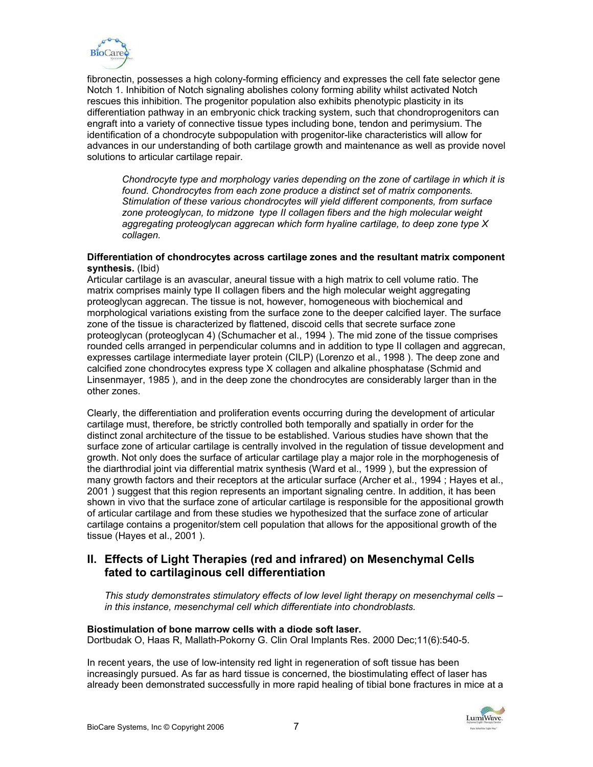

fibronectin, possesses a high colony-forming efficiency and expresses the cell fate selector gene Notch 1. Inhibition of Notch signaling abolishes colony forming ability whilst activated Notch rescues this inhibition. The progenitor population also exhibits phenotypic plasticity in its differentiation pathway in an embryonic chick tracking system, such that chondroprogenitors can engraft into a variety of connective tissue types including bone, tendon and perimysium. The identification of a chondrocyte subpopulation with progenitor-like characteristics will allow for advances in our understanding of both cartilage growth and maintenance as well as provide novel solutions to articular cartilage repair.

*Chondrocyte type and morphology varies depending on the zone of cartilage in which it is found. Chondrocytes from each zone produce a distinct set of matrix components. Stimulation of these various chondrocytes will yield different components, from surface zone proteoglycan, to midzone type II collagen fibers and the high molecular weight aggregating proteoglycan aggrecan which form hyaline cartilage, to deep zone type X collagen.* 

#### **Differentiation of chondrocytes across cartilage zones and the resultant matrix component synthesis.** (Ibid)

Articular cartilage is an avascular, aneural tissue with a high matrix to cell volume ratio. The matrix comprises mainly type II collagen fibers and the high molecular weight aggregating proteoglycan aggrecan. The tissue is not, however, homogeneous with biochemical and morphological variations existing from the surface zone to the deeper calcified layer. The surface zone of the tissue is characterized by flattened, discoid cells that secrete surface zone proteoglycan (proteoglycan 4) (Schumacher et al., 1994 ). The mid zone of the tissue comprises rounded cells arranged in perpendicular columns and in addition to type II collagen and aggrecan, expresses cartilage intermediate layer protein (CILP) (Lorenzo et al., 1998 ). The deep zone and calcified zone chondrocytes express type X collagen and alkaline phosphatase (Schmid and Linsenmayer, 1985 ), and in the deep zone the chondrocytes are considerably larger than in the other zones.

Clearly, the differentiation and proliferation events occurring during the development of articular cartilage must, therefore, be strictly controlled both temporally and spatially in order for the distinct zonal architecture of the tissue to be established. Various studies have shown that the surface zone of articular cartilage is centrally involved in the regulation of tissue development and growth. Not only does the surface of articular cartilage play a major role in the morphogenesis of the diarthrodial joint via differential matrix synthesis (Ward et al., 1999 ), but the expression of many growth factors and their receptors at the articular surface (Archer et al., 1994 ; Hayes et al., 2001 ) suggest that this region represents an important signaling centre. In addition, it has been shown in vivo that the surface zone of articular cartilage is responsible for the appositional growth of articular cartilage and from these studies we hypothesized that the surface zone of articular cartilage contains a progenitor/stem cell population that allows for the appositional growth of the tissue (Hayes et al., 2001 ).

# **II. Effects of Light Therapies (red and infrared) on Mesenchymal Cells fated to cartilaginous cell differentiation**

*This study demonstrates stimulatory effects of low level light therapy on mesenchymal cells – in this instance, mesenchymal cell which differentiate into chondroblasts.* 

#### **Biostimulation of bone marrow cells with a diode soft laser.**

Dortbudak O, Haas R, Mallath-Pokorny G. Clin Oral Implants Res. 2000 Dec;11(6):540-5.

In recent years, the use of low-intensity red light in regeneration of soft tissue has been increasingly pursued. As far as hard tissue is concerned, the biostimulating effect of laser has already been demonstrated successfully in more rapid healing of tibial bone fractures in mice at a

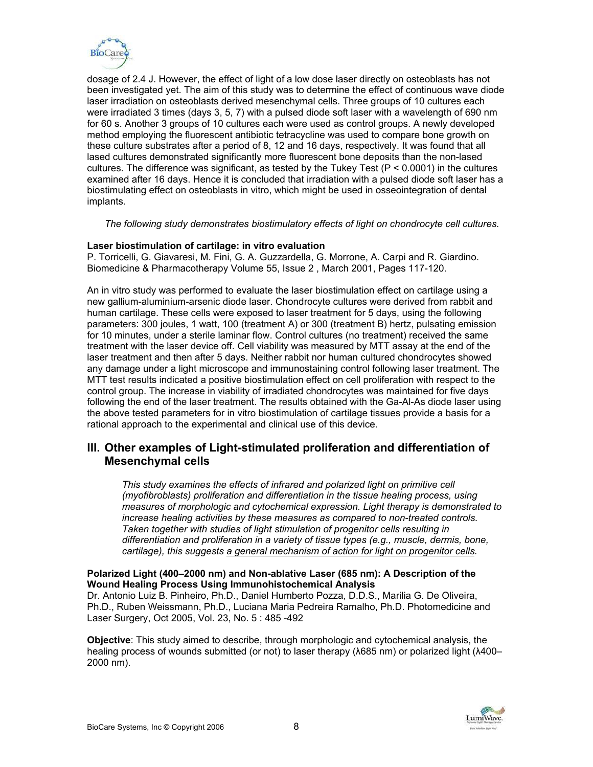

dosage of 2.4 J. However, the effect of light of a low dose laser directly on osteoblasts has not been investigated yet. The aim of this study was to determine the effect of continuous wave diode laser irradiation on osteoblasts derived mesenchymal cells. Three groups of 10 cultures each were irradiated 3 times (days 3, 5, 7) with a pulsed diode soft laser with a wavelength of 690 nm for 60 s. Another 3 groups of 10 cultures each were used as control groups. A newly developed method employing the fluorescent antibiotic tetracycline was used to compare bone growth on these culture substrates after a period of 8, 12 and 16 days, respectively. It was found that all lased cultures demonstrated significantly more fluorescent bone deposits than the non-lased cultures. The difference was significant, as tested by the Tukey Test ( $P < 0.0001$ ) in the cultures examined after 16 days. Hence it is concluded that irradiation with a pulsed diode soft laser has a biostimulating effect on osteoblasts in vitro, which might be used in osseointegration of dental implants.

*The following study demonstrates biostimulatory effects of light on chondrocyte cell cultures.* 

## **Laser biostimulation of cartilage: in vitro evaluation**

P. Torricelli, G. Giavaresi, M. Fini, G. A. Guzzardella, G. Morrone, A. Carpi and R. Giardino. Biomedicine & Pharmacotherapy Volume 55, Issue 2 , March 2001, Pages 117-120.

An in vitro study was performed to evaluate the laser biostimulation effect on cartilage using a new gallium-aluminium-arsenic diode laser. Chondrocyte cultures were derived from rabbit and human cartilage. These cells were exposed to laser treatment for 5 days, using the following parameters: 300 joules, 1 watt, 100 (treatment A) or 300 (treatment B) hertz, pulsating emission for 10 minutes, under a sterile laminar flow. Control cultures (no treatment) received the same treatment with the laser device off. Cell viability was measured by MTT assay at the end of the laser treatment and then after 5 days. Neither rabbit nor human cultured chondrocytes showed any damage under a light microscope and immunostaining control following laser treatment. The MTT test results indicated a positive biostimulation effect on cell proliferation with respect to the control group. The increase in viability of irradiated chondrocytes was maintained for five days following the end of the laser treatment. The results obtained with the Ga-Al-As diode laser using the above tested parameters for in vitro biostimulation of cartilage tissues provide a basis for a rational approach to the experimental and clinical use of this device.

# **III. Other examples of Light-stimulated proliferation and differentiation of Mesenchymal cells**

*This study examines the effects of infrared and polarized light on primitive cell (myofibroblasts) proliferation and differentiation in the tissue healing process, using measures of morphologic and cytochemical expression. Light therapy is demonstrated to increase healing activities by these measures as compared to non-treated controls. Taken together with studies of light stimulation of progenitor cells resulting in differentiation and proliferation in a variety of tissue types (e.g., muscle, dermis, bone, cartilage), this suggests a general mechanism of action for light on progenitor cells.* 

#### **Polarized Light (400–2000 nm) and Non-ablative Laser (685 nm): A Description of the Wound Healing Process Using Immunohistochemical Analysis**

Dr. Antonio Luiz B. Pinheiro, Ph.D., Daniel Humberto Pozza, D.D.S., Marilia G. De Oliveira, Ph.D., Ruben Weissmann, Ph.D., Luciana Maria Pedreira Ramalho, Ph.D. Photomedicine and Laser Surgery, Oct 2005, Vol. 23, No. 5 : 485 -492

**Objective**: This study aimed to describe, through morphologic and cytochemical analysis, the healing process of wounds submitted (or not) to laser therapy  $(\lambda 685 \text{ nm})$  or polarized light  $(\lambda 400-$ 2000 nm).

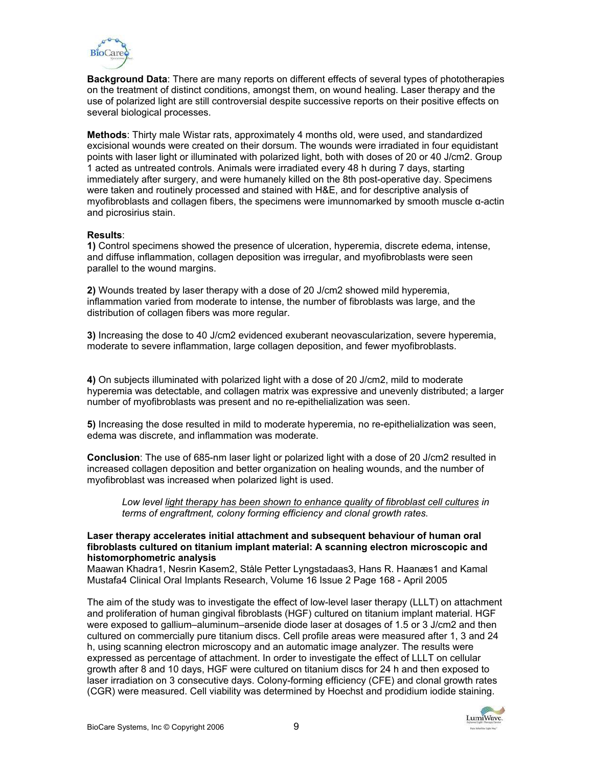

**Background Data**: There are many reports on different effects of several types of phototherapies on the treatment of distinct conditions, amongst them, on wound healing. Laser therapy and the use of polarized light are still controversial despite successive reports on their positive effects on several biological processes.

**Methods**: Thirty male Wistar rats, approximately 4 months old, were used, and standardized excisional wounds were created on their dorsum. The wounds were irradiated in four equidistant points with laser light or illuminated with polarized light, both with doses of 20 or 40 J/cm2. Group 1 acted as untreated controls. Animals were irradiated every 48 h during 7 days, starting immediately after surgery, and were humanely killed on the 8th post-operative day. Specimens were taken and routinely processed and stained with H&E, and for descriptive analysis of myofibroblasts and collagen fibers, the specimens were imunnomarked by smooth muscle  $\alpha$ -actin and picrosirius stain.

#### **Results**:

**1)** Control specimens showed the presence of ulceration, hyperemia, discrete edema, intense, and diffuse inflammation, collagen deposition was irregular, and myofibroblasts were seen parallel to the wound margins.

**2)** Wounds treated by laser therapy with a dose of 20 J/cm2 showed mild hyperemia, inflammation varied from moderate to intense, the number of fibroblasts was large, and the distribution of collagen fibers was more regular.

**3)** Increasing the dose to 40 J/cm2 evidenced exuberant neovascularization, severe hyperemia, moderate to severe inflammation, large collagen deposition, and fewer myofibroblasts.

**4)** On subjects illuminated with polarized light with a dose of 20 J/cm2, mild to moderate hyperemia was detectable, and collagen matrix was expressive and unevenly distributed; a larger number of myofibroblasts was present and no re-epithelialization was seen.

**5)** Increasing the dose resulted in mild to moderate hyperemia, no re-epithelialization was seen, edema was discrete, and inflammation was moderate.

**Conclusion**: The use of 685-nm laser light or polarized light with a dose of 20 J/cm2 resulted in increased collagen deposition and better organization on healing wounds, and the number of myofibroblast was increased when polarized light is used.

*Low level light therapy has been shown to enhance quality of fibroblast cell cultures in terms of engraftment, colony forming efficiency and clonal growth rates.* 

#### **Laser therapy accelerates initial attachment and subsequent behaviour of human oral fibroblasts cultured on titanium implant material: A scanning electron microscopic and histomorphometric analysis**

Maawan Khadra1, Nesrin Kasem2, Ståle Petter Lyngstadaas3, Hans R. Haanæs1 and Kamal Mustafa4 Clinical Oral Implants Research, Volume 16 Issue 2 Page 168 - April 2005

The aim of the study was to investigate the effect of low-level laser therapy (LLLT) on attachment and proliferation of human gingival fibroblasts (HGF) cultured on titanium implant material. HGF were exposed to gallium–aluminum–arsenide diode laser at dosages of 1.5 or 3 J/cm2 and then cultured on commercially pure titanium discs. Cell profile areas were measured after 1, 3 and 24 h, using scanning electron microscopy and an automatic image analyzer. The results were expressed as percentage of attachment. In order to investigate the effect of LLLT on cellular growth after 8 and 10 days, HGF were cultured on titanium discs for 24 h and then exposed to laser irradiation on 3 consecutive days. Colony-forming efficiency (CFE) and clonal growth rates (CGR) were measured. Cell viability was determined by Hoechst and prodidium iodide staining.

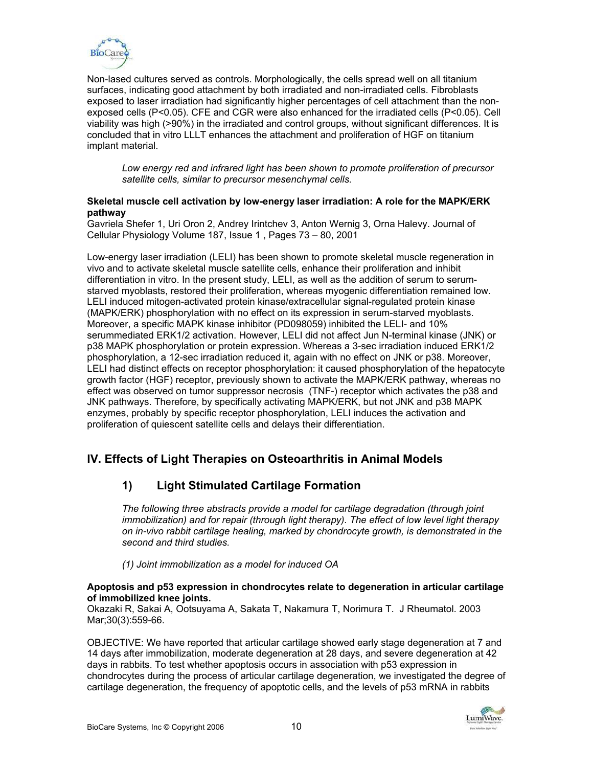

Non-lased cultures served as controls. Morphologically, the cells spread well on all titanium surfaces, indicating good attachment by both irradiated and non-irradiated cells. Fibroblasts exposed to laser irradiation had significantly higher percentages of cell attachment than the nonexposed cells (P<0.05). CFE and CGR were also enhanced for the irradiated cells (P<0.05). Cell viability was high (>90%) in the irradiated and control groups, without significant differences. It is concluded that in vitro LLLT enhances the attachment and proliferation of HGF on titanium implant material.

*Low energy red and infrared light has been shown to promote proliferation of precursor satellite cells, similar to precursor mesenchymal cells.* 

## **Skeletal muscle cell activation by low-energy laser irradiation: A role for the MAPK/ERK pathway**

Gavriela Shefer 1, Uri Oron 2, Andrey Irintchev 3, Anton Wernig 3, Orna Halevy. Journal of Cellular Physiology Volume 187, Issue 1 , Pages 73 – 80, 2001

Low-energy laser irradiation (LELI) has been shown to promote skeletal muscle regeneration in vivo and to activate skeletal muscle satellite cells, enhance their proliferation and inhibit differentiation in vitro. In the present study, LELI, as well as the addition of serum to serumstarved myoblasts, restored their proliferation, whereas myogenic differentiation remained low. LELI induced mitogen-activated protein kinase/extracellular signal-regulated protein kinase (MAPK/ERK) phosphorylation with no effect on its expression in serum-starved myoblasts. Moreover, a specific MAPK kinase inhibitor (PD098059) inhibited the LELI- and 10% serummediated ERK1/2 activation. However, LELI did not affect Jun N-terminal kinase (JNK) or p38 MAPK phosphorylation or protein expression. Whereas a 3-sec irradiation induced ERK1/2 phosphorylation, a 12-sec irradiation reduced it, again with no effect on JNK or p38. Moreover, LELI had distinct effects on receptor phosphorylation: it caused phosphorylation of the hepatocyte growth factor (HGF) receptor, previously shown to activate the MAPK/ERK pathway, whereas no effect was observed on tumor suppressor necrosis (TNF-) receptor which activates the p38 and JNK pathways. Therefore, by specifically activating MAPK/ERK, but not JNK and p38 MAPK enzymes, probably by specific receptor phosphorylation, LELI induces the activation and proliferation of quiescent satellite cells and delays their differentiation.

# **IV. Effects of Light Therapies on Osteoarthritis in Animal Models**

# **1) Light Stimulated Cartilage Formation**

*The following three abstracts provide a model for cartilage degradation (through joint immobilization) and for repair (through light therapy). The effect of low level light therapy on in-vivo rabbit cartilage healing, marked by chondrocyte growth, is demonstrated in the second and third studies.* 

*(1) Joint immobilization as a model for induced OA* 

### **Apoptosis and p53 expression in chondrocytes relate to degeneration in articular cartilage of immobilized knee joints.**

Okazaki R, Sakai A, Ootsuyama A, Sakata T, Nakamura T, Norimura T. J Rheumatol. 2003 Mar;30(3):559-66.

OBJECTIVE: We have reported that articular cartilage showed early stage degeneration at 7 and 14 days after immobilization, moderate degeneration at 28 days, and severe degeneration at 42 days in rabbits. To test whether apoptosis occurs in association with p53 expression in chondrocytes during the process of articular cartilage degeneration, we investigated the degree of cartilage degeneration, the frequency of apoptotic cells, and the levels of p53 mRNA in rabbits

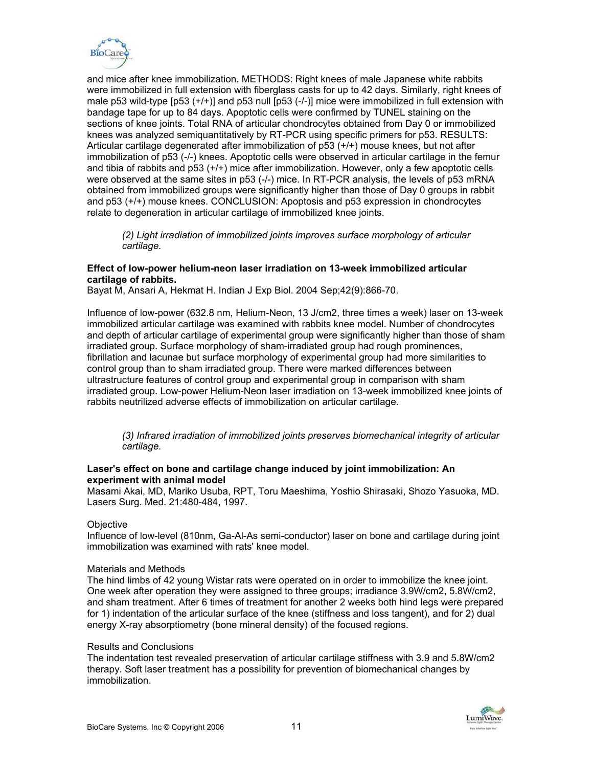

and mice after knee immobilization. METHODS: Right knees of male Japanese white rabbits were immobilized in full extension with fiberglass casts for up to 42 days. Similarly, right knees of male p53 wild-type [p53 (+/+)] and p53 null [p53 (-/-)] mice were immobilized in full extension with bandage tape for up to 84 days. Apoptotic cells were confirmed by TUNEL staining on the sections of knee joints. Total RNA of articular chondrocytes obtained from Day 0 or immobilized knees was analyzed semiquantitatively by RT-PCR using specific primers for p53. RESULTS: Articular cartilage degenerated after immobilization of p53 (+/+) mouse knees, but not after immobilization of p53 (-/-) knees. Apoptotic cells were observed in articular cartilage in the femur and tibia of rabbits and p53 (+/+) mice after immobilization. However, only a few apoptotic cells were observed at the same sites in p53 (-/-) mice. In RT-PCR analysis, the levels of p53 mRNA obtained from immobilized groups were significantly higher than those of Day 0 groups in rabbit and p53 (+/+) mouse knees. CONCLUSION: Apoptosis and p53 expression in chondrocytes relate to degeneration in articular cartilage of immobilized knee joints.

*(2) Light irradiation of immobilized joints improves surface morphology of articular cartilage.* 

### **Effect of low-power helium-neon laser irradiation on 13-week immobilized articular cartilage of rabbits.**

Bayat M, Ansari A, Hekmat H. Indian J Exp Biol. 2004 Sep;42(9):866-70.

Influence of low-power (632.8 nm, Helium-Neon, 13 J/cm2, three times a week) laser on 13-week immobilized articular cartilage was examined with rabbits knee model. Number of chondrocytes and depth of articular cartilage of experimental group were significantly higher than those of sham irradiated group. Surface morphology of sham-irradiated group had rough prominences, fibrillation and lacunae but surface morphology of experimental group had more similarities to control group than to sham irradiated group. There were marked differences between ultrastructure features of control group and experimental group in comparison with sham irradiated group. Low-power Helium-Neon laser irradiation on 13-week immobilized knee joints of rabbits neutrilized adverse effects of immobilization on articular cartilage.

*(3) Infrared irradiation of immobilized joints preserves biomechanical integrity of articular cartilage.* 

### **Laser's effect on bone and cartilage change induced by joint immobilization: An experiment with animal model**

Masami Akai, MD, Mariko Usuba, RPT, Toru Maeshima, Yoshio Shirasaki, Shozo Yasuoka, MD. Lasers Surg. Med. 21:480-484, 1997.

#### **Objective**

Influence of low-level (810nm, Ga-Al-As semi-conductor) laser on bone and cartilage during joint immobilization was examined with rats' knee model.

#### Materials and Methods

The hind limbs of 42 young Wistar rats were operated on in order to immobilize the knee joint. One week after operation they were assigned to three groups; irradiance 3.9W/cm2, 5.8W/cm2, and sham treatment. After 6 times of treatment for another 2 weeks both hind legs were prepared for 1) indentation of the articular surface of the knee (stiffness and loss tangent), and for 2) dual energy X-ray absorptiometry (bone mineral density) of the focused regions.

#### Results and Conclusions

The indentation test revealed preservation of articular cartilage stiffness with 3.9 and 5.8W/cm2 therapy. Soft laser treatment has a possibility for prevention of biomechanical changes by immobilization.

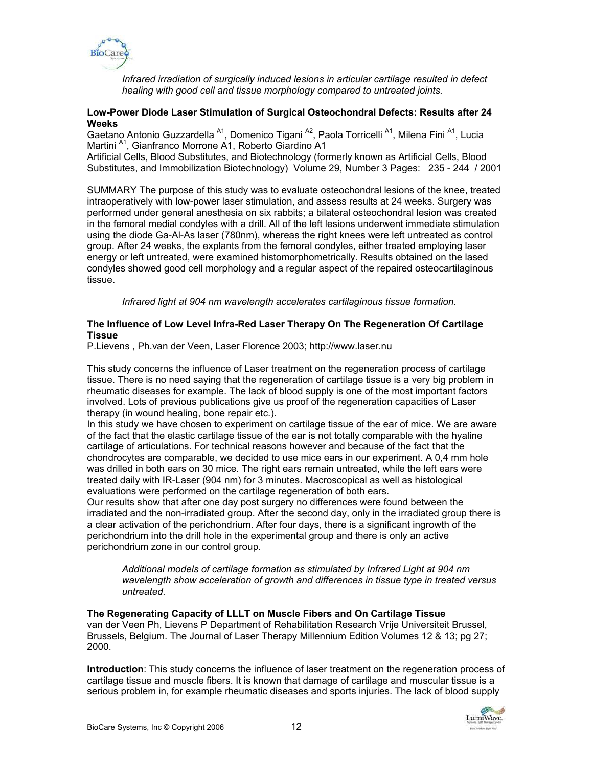

*Infrared irradiation of surgically induced lesions in articular cartilage resulted in defect healing with good cell and tissue morphology compared to untreated joints.* 

#### **Low-Power Diode Laser Stimulation of Surgical Osteochondral Defects: Results after 24 Weeks**

Gaetano Antonio Guzzardella <sup>A1</sup>, Domenico Tigani <sup>A2</sup>, Paola Torricelli <sup>A1</sup>, Milena Fini <sup>A1</sup>, Lucia Martini <sup>A1</sup>, Gianfranco Morrone A1, Roberto Giardino A1 Artificial Cells, Blood Substitutes, and Biotechnology (formerly known as Artificial Cells, Blood Substitutes, and Immobilization Biotechnology) Volume 29, Number 3 Pages: 235 - 244 / 2001

SUMMARY The purpose of this study was to evaluate osteochondral lesions of the knee, treated intraoperatively with low-power laser stimulation, and assess results at 24 weeks. Surgery was performed under general anesthesia on six rabbits; a bilateral osteochondral lesion was created in the femoral medial condyles with a drill. All of the left lesions underwent immediate stimulation using the diode Ga-Al-As laser (780nm), whereas the right knees were left untreated as control group. After 24 weeks, the explants from the femoral condyles, either treated employing laser energy or left untreated, were examined histomorphometrically. Results obtained on the lased condyles showed good cell morphology and a regular aspect of the repaired osteocartilaginous tissue.

*Infrared light at 904 nm wavelength accelerates cartilaginous tissue formation.* 

### **The Influence of Low Level Infra-Red Laser Therapy On The Regeneration Of Cartilage Tissue**

P.Lievens , Ph.van der Veen, Laser Florence 2003; http://www.laser.nu

This study concerns the influence of Laser treatment on the regeneration process of cartilage tissue. There is no need saying that the regeneration of cartilage tissue is a very big problem in rheumatic diseases for example. The lack of blood supply is one of the most important factors involved. Lots of previous publications give us proof of the regeneration capacities of Laser therapy (in wound healing, bone repair etc.).

In this study we have chosen to experiment on cartilage tissue of the ear of mice. We are aware of the fact that the elastic cartilage tissue of the ear is not totally comparable with the hyaline cartilage of articulations. For technical reasons however and because of the fact that the chondrocytes are comparable, we decided to use mice ears in our experiment. A 0,4 mm hole was drilled in both ears on 30 mice. The right ears remain untreated, while the left ears were treated daily with IR-Laser (904 nm) for 3 minutes. Macroscopical as well as histological evaluations were performed on the cartilage regeneration of both ears.

Our results show that after one day post surgery no differences were found between the irradiated and the non-irradiated group. After the second day, only in the irradiated group there is a clear activation of the perichondrium. After four days, there is a significant ingrowth of the perichondrium into the drill hole in the experimental group and there is only an active perichondrium zone in our control group.

*Additional models of cartilage formation as stimulated by Infrared Light at 904 nm wavelength show acceleration of growth and differences in tissue type in treated versus untreated.* 

**The Regenerating Capacity of LLLT on Muscle Fibers and On Cartilage Tissue**  van der Veen Ph, Lievens P Department of Rehabilitation Research Vrije Universiteit Brussel, Brussels, Belgium. The Journal of Laser Therapy Millennium Edition Volumes 12 & 13; pg 27; 2000.

**Introduction**: This study concerns the influence of laser treatment on the regeneration process of cartilage tissue and muscle fibers. It is known that damage of cartilage and muscular tissue is a serious problem in, for example rheumatic diseases and sports injuries. The lack of blood supply

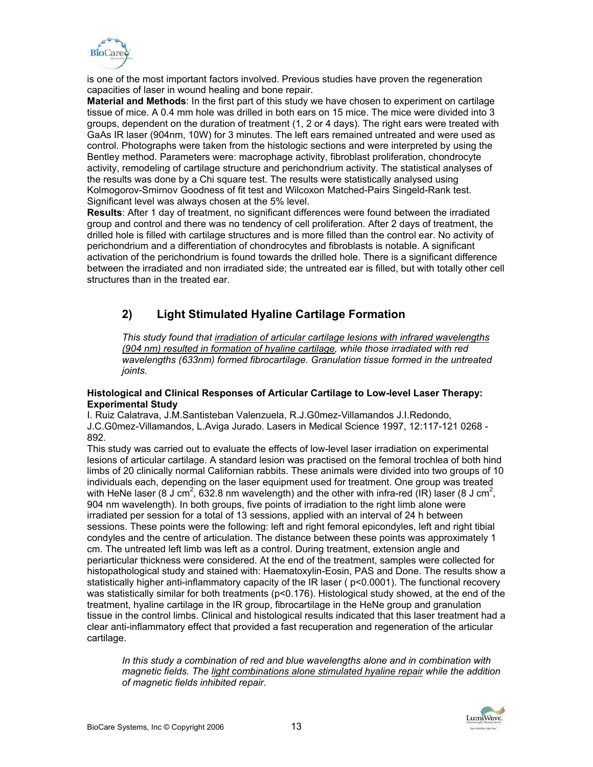

is one of the most important factors involved. Previous studies have proven the regeneration capacities of laser in wound healing and bone repair.

**Material and Methods**: In the first part of this study we have chosen to experiment on cartilage tissue of mice. A 0.4 mm hole was drilled in both ears on 15 mice. The mice were divided into 3 groups, dependent on the duration of treatment (1, 2 or 4 days). The right ears were treated with GaAs IR laser (904nm, 10W) for 3 minutes. The left ears remained untreated and were used as control. Photographs were taken from the histologic sections and were interpreted by using the Bentley method. Parameters were: macrophage activity, fibroblast proliferation, chondrocyte activity, remodeling of cartilage structure and perichondrium activity. The statistical analyses of the results was done by a Chi square test. The results were statistically analysed using Kolmogorov-Smirnov Goodness of fit test and Wilcoxon Matched-Pairs Singeld-Rank test. Significant level was always chosen at the 5% level.

**Results**: After 1 day of treatment, no significant differences were found between the irradiated group and control and there was no tendency of cell proliferation. After 2 days of treatment, the drilled hole is filled with cartilage structures and is more filled than the control ear. No activity of perichondrium and a differentiation of chondrocytes and fibroblasts is notable. A significant activation of the perichondrium is found towards the drilled hole. There is a significant difference between the irradiated and non irradiated side; the untreated ear is filled, but with totally other cell structures than in the treated ear.

# **2) Light Stimulated Hyaline Cartilage Formation**

*This study found that irradiation of articular cartilage lesions with infrared wavelengths (904 nm) resulted in formation of hyaline cartilage, while those irradiated with red wavelengths (633nm) formed fibrocartilage. Granulation tissue formed in the untreated joints.* 

#### **Histological and Clinical Responses of Articular Cartilage to Low-level Laser Therapy: Experimental Study**

I. Ruiz Calatrava, J.M.Santisteban Valenzuela, R.J.G0mez-Villamandos J.I.Redondo, J.C.G0mez-Villamandos, L.Aviga Jurado. Lasers in Medical Science 1997, 12:117-121 0268 - 892.

This study was carried out to evaluate the effects of low-level laser irradiation on experimental lesions of articular cartilage. A standard lesion was practised on the femoral trochlea of both hind limbs of 20 clinically normal Californian rabbits. These animals were divided into two groups of 10 individuals each, depending on the laser equipment used for treatment. One group was treated with HeNe laser (8 J cm<sup>2</sup>, 632.8 nm wavelength) and the other with infra-red (IR) laser (8 J cm<sup>2</sup>, 904 nm wavelength). In both groups, five points of irradiation to the right limb alone were irradiated per session for a total of 13 sessions, applied with an interval of 24 h between sessions. These points were the following: left and right femoral epicondyles, left and right tibial condyles and the centre of articulation. The distance between these points was approximately 1 cm. The untreated left limb was left as a control. During treatment, extension angle and periarticular thickness were considered. At the end of the treatment, samples were collected for histopathological study and stained with: Haematoxylin-Eosin, PAS and Done. The results show a statistically higher anti-inflammatory capacity of the IR laser ( p<0.0001). The functional recovery was statistically similar for both treatments (p<0.176). Histological study showed, at the end of the treatment, hyaline cartilage in the IR group, fibrocartilage in the HeNe group and granulation tissue in the control limbs. Clinical and histological results indicated that this laser treatment had a clear anti-inflammatory effect that provided a fast recuperation and regeneration of the articular cartilage.

*In this study a combination of red and blue wavelengths alone and in combination with magnetic fields. The light combinations alone stimulated hyaline repair while the addition of magnetic fields inhibited repair.* 

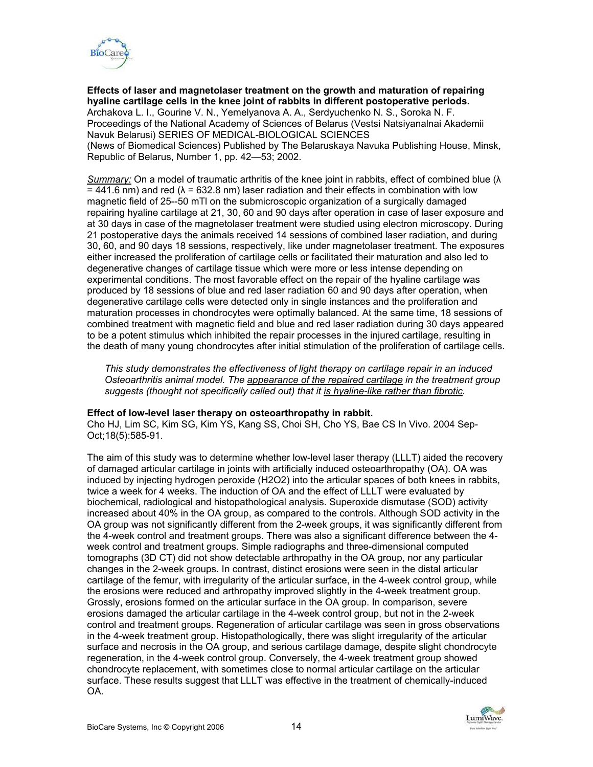

**Effects of laser and magnetolaser treatment on the growth and maturation of repairing hyaline cartilage cells in the knee joint of rabbits in different postoperative periods.** Archakova L. I., Gourine V. N., Yemelyanova A. A., Serdyuchenko N. S., Soroka N. F.

Proceedings of the National Academy of Sciences of Belarus (Vestsi Natsiyanalnai Akademii Navuk Belarusi) SERIES OF MEDICAL-BIOLOGICAL SCIENCES (News of Biomedical Sciences) Published by The Belaruskaya Navuka Publishing House, Minsk, Republic of Belarus, Number 1, pp. 42—53; 2002.

**Summary:** On a model of traumatic arthritis of the knee joint in rabbits, effect of combined blue ( $\lambda$ = 441.6 nm) and red ( $\lambda$  = 632.8 nm) laser radiation and their effects in combination with low magnetic field of 25--50 mTl on the submicroscopic organization of a surgically damaged repairing hyaline cartilage at 21, 30, 60 and 90 days after operation in case of laser exposure and at 30 days in case of the magnetolaser treatment were studied using electron microscopy. During 21 postoperative days the animals received 14 sessions of combined laser radiation, and during 30, 60, and 90 days 18 sessions, respectively, like under magnetolaser treatment. The exposures either increased the proliferation of cartilage cells or facilitated their maturation and also led to degenerative changes of cartilage tissue which were more or less intense depending on experimental conditions. The most favorable effect on the repair of the hyaline cartilage was produced by 18 sessions of blue and red laser radiation 60 and 90 days after operation, when degenerative cartilage cells were detected only in single instances and the proliferation and maturation processes in chondrocytes were optimally balanced. At the same time, 18 sessions of combined treatment with magnetic field and blue and red laser radiation during 30 days appeared to be a potent stimulus which inhibited the repair processes in the injured cartilage, resulting in the death of many young chondrocytes after initial stimulation of the proliferation of cartilage cells.

*This study demonstrates the effectiveness of light therapy on cartilage repair in an induced Osteoarthritis animal model. The appearance of the repaired cartilage in the treatment group suggests (thought not specifically called out) that it is hyaline-like rather than fibrotic.* 

#### **Effect of low-level laser therapy on osteoarthropathy in rabbit.**

Cho HJ, Lim SC, Kim SG, Kim YS, Kang SS, Choi SH, Cho YS, Bae CS In Vivo. 2004 Sep-Oct;18(5):585-91.

The aim of this study was to determine whether low-level laser therapy (LLLT) aided the recovery of damaged articular cartilage in joints with artificially induced osteoarthropathy (OA). OA was induced by injecting hydrogen peroxide (H2O2) into the articular spaces of both knees in rabbits, twice a week for 4 weeks. The induction of OA and the effect of LLLT were evaluated by biochemical, radiological and histopathological analysis. Superoxide dismutase (SOD) activity increased about 40% in the OA group, as compared to the controls. Although SOD activity in the OA group was not significantly different from the 2-week groups, it was significantly different from the 4-week control and treatment groups. There was also a significant difference between the 4 week control and treatment groups. Simple radiographs and three-dimensional computed tomographs (3D CT) did not show detectable arthropathy in the OA group, nor any particular changes in the 2-week groups. In contrast, distinct erosions were seen in the distal articular cartilage of the femur, with irregularity of the articular surface, in the 4-week control group, while the erosions were reduced and arthropathy improved slightly in the 4-week treatment group. Grossly, erosions formed on the articular surface in the OA group. In comparison, severe erosions damaged the articular cartilage in the 4-week control group, but not in the 2-week control and treatment groups. Regeneration of articular cartilage was seen in gross observations in the 4-week treatment group. Histopathologically, there was slight irregularity of the articular surface and necrosis in the OA group, and serious cartilage damage, despite slight chondrocyte regeneration, in the 4-week control group. Conversely, the 4-week treatment group showed chondrocyte replacement, with sometimes close to normal articular cartilage on the articular surface. These results suggest that LLLT was effective in the treatment of chemically-induced OA.

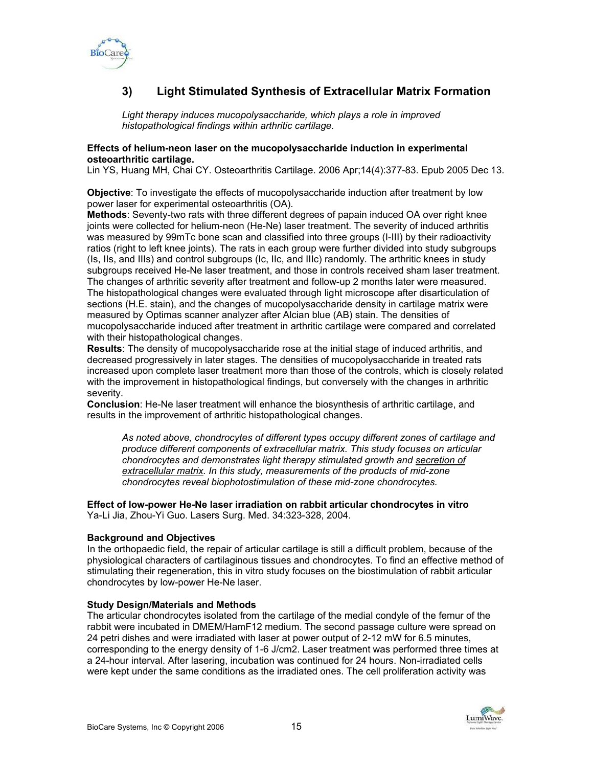

# **3) Light Stimulated Synthesis of Extracellular Matrix Formation**

*Light therapy induces mucopolysaccharide, which plays a role in improved histopathological findings within arthritic cartilage.* 

#### **Effects of helium-neon laser on the mucopolysaccharide induction in experimental osteoarthritic cartilage.**

Lin YS, Huang MH, Chai CY. Osteoarthritis Cartilage. 2006 Apr;14(4):377-83. Epub 2005 Dec 13.

**Objective**: To investigate the effects of mucopolysaccharide induction after treatment by low power laser for experimental osteoarthritis (OA).

**Methods**: Seventy-two rats with three different degrees of papain induced OA over right knee joints were collected for helium-neon (He-Ne) laser treatment. The severity of induced arthritis was measured by 99mTc bone scan and classified into three groups (I-III) by their radioactivity ratios (right to left knee joints). The rats in each group were further divided into study subgroups (Is, IIs, and IIIs) and control subgroups (Ic, IIc, and IIIc) randomly. The arthritic knees in study subgroups received He-Ne laser treatment, and those in controls received sham laser treatment. The changes of arthritic severity after treatment and follow-up 2 months later were measured. The histopathological changes were evaluated through light microscope after disarticulation of sections (H.E. stain), and the changes of mucopolysaccharide density in cartilage matrix were measured by Optimas scanner analyzer after Alcian blue (AB) stain. The densities of mucopolysaccharide induced after treatment in arthritic cartilage were compared and correlated with their histopathological changes.

**Results**: The density of mucopolysaccharide rose at the initial stage of induced arthritis, and decreased progressively in later stages. The densities of mucopolysaccharide in treated rats increased upon complete laser treatment more than those of the controls, which is closely related with the improvement in histopathological findings, but conversely with the changes in arthritic severity.

**Conclusion**: He-Ne laser treatment will enhance the biosynthesis of arthritic cartilage, and results in the improvement of arthritic histopathological changes.

*As noted above, chondrocytes of different types occupy different zones of cartilage and produce different components of extracellular matrix. This study focuses on articular chondrocytes and demonstrates light therapy stimulated growth and secretion of extracellular matrix. In this study, measurements of the products of mid-zone chondrocytes reveal biophotostimulation of these mid-zone chondrocytes.* 

**Effect of low-power He-Ne laser irradiation on rabbit articular chondrocytes in vitro**  Ya-Li Jia, Zhou-Yi Guo. Lasers Surg. Med. 34:323-328, 2004.

## **Background and Objectives**

In the orthopaedic field, the repair of articular cartilage is still a difficult problem, because of the physiological characters of cartilaginous tissues and chondrocytes. To find an effective method of stimulating their regeneration, this in vitro study focuses on the biostimulation of rabbit articular chondrocytes by low-power He-Ne laser.

#### **Study Design/Materials and Methods**

The articular chondrocytes isolated from the cartilage of the medial condyle of the femur of the rabbit were incubated in DMEM/HamF12 medium. The second passage culture were spread on 24 petri dishes and were irradiated with laser at power output of 2-12 mW for 6.5 minutes, corresponding to the energy density of 1-6 J/cm2. Laser treatment was performed three times at a 24-hour interval. After lasering, incubation was continued for 24 hours. Non-irradiated cells were kept under the same conditions as the irradiated ones. The cell proliferation activity was

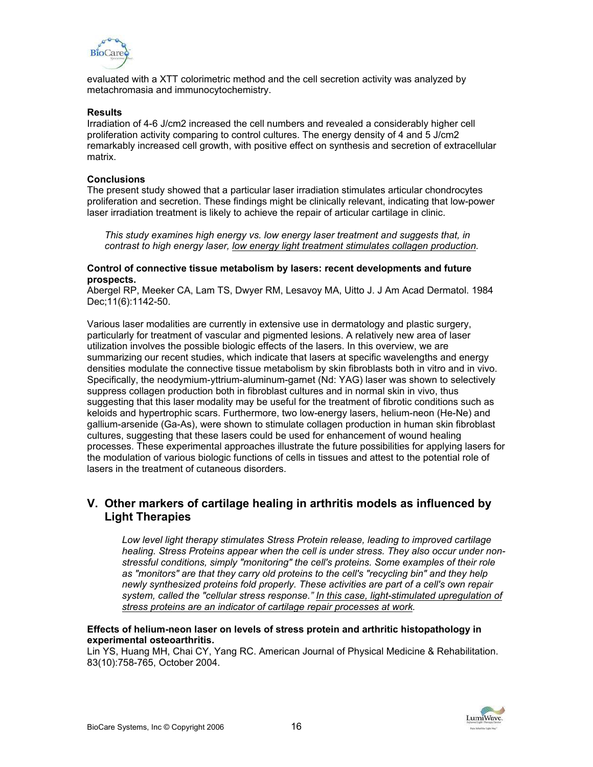

evaluated with a XTT colorimetric method and the cell secretion activity was analyzed by metachromasia and immunocytochemistry.

#### **Results**

Irradiation of 4-6 J/cm2 increased the cell numbers and revealed a considerably higher cell proliferation activity comparing to control cultures. The energy density of 4 and 5 J/cm2 remarkably increased cell growth, with positive effect on synthesis and secretion of extracellular matrix.

#### **Conclusions**

The present study showed that a particular laser irradiation stimulates articular chondrocytes proliferation and secretion. These findings might be clinically relevant, indicating that low-power laser irradiation treatment is likely to achieve the repair of articular cartilage in clinic.

*This study examines high energy vs. low energy laser treatment and suggests that, in contrast to high energy laser, low energy light treatment stimulates collagen production.* 

#### **Control of connective tissue metabolism by lasers: recent developments and future prospects.**

Abergel RP, Meeker CA, Lam TS, Dwyer RM, Lesavoy MA, Uitto J. J Am Acad Dermatol. 1984 Dec;11(6):1142-50.

Various laser modalities are currently in extensive use in dermatology and plastic surgery, particularly for treatment of vascular and pigmented lesions. A relatively new area of laser utilization involves the possible biologic effects of the lasers. In this overview, we are summarizing our recent studies, which indicate that lasers at specific wavelengths and energy densities modulate the connective tissue metabolism by skin fibroblasts both in vitro and in vivo. Specifically, the neodymium-yttrium-aluminum-garnet (Nd: YAG) laser was shown to selectively suppress collagen production both in fibroblast cultures and in normal skin in vivo, thus suggesting that this laser modality may be useful for the treatment of fibrotic conditions such as keloids and hypertrophic scars. Furthermore, two low-energy lasers, helium-neon (He-Ne) and gallium-arsenide (Ga-As), were shown to stimulate collagen production in human skin fibroblast cultures, suggesting that these lasers could be used for enhancement of wound healing processes. These experimental approaches illustrate the future possibilities for applying lasers for the modulation of various biologic functions of cells in tissues and attest to the potential role of lasers in the treatment of cutaneous disorders.

# **V. Other markers of cartilage healing in arthritis models as influenced by Light Therapies**

*Low level light therapy stimulates Stress Protein release, leading to improved cartilage healing. Stress Proteins appear when the cell is under stress. They also occur under nonstressful conditions, simply "monitoring" the cell's proteins. Some examples of their role*  as "monitors" are that they carry old proteins to the cell's "recycling bin" and they help *newly synthesized proteins fold properly. These activities are part of a cell's own repair system, called the "cellular stress response." In this case, light-stimulated upregulation of stress proteins are an indicator of cartilage repair processes at work.* 

#### **Effects of helium-neon laser on levels of stress protein and arthritic histopathology in experimental osteoarthritis.**

Lin YS, Huang MH, Chai CY, Yang RC. American Journal of Physical Medicine & Rehabilitation. 83(10):758-765, October 2004.

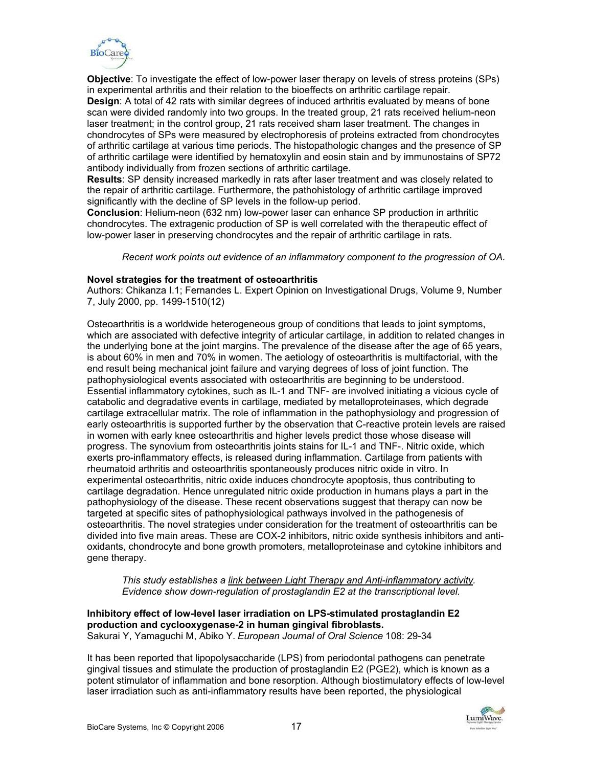

**Objective**: To investigate the effect of low-power laser therapy on levels of stress proteins (SPs) in experimental arthritis and their relation to the bioeffects on arthritic cartilage repair. **Design**: A total of 42 rats with similar degrees of induced arthritis evaluated by means of bone scan were divided randomly into two groups. In the treated group, 21 rats received helium-neon laser treatment; in the control group, 21 rats received sham laser treatment. The changes in chondrocytes of SPs were measured by electrophoresis of proteins extracted from chondrocytes of arthritic cartilage at various time periods. The histopathologic changes and the presence of SP of arthritic cartilage were identified by hematoxylin and eosin stain and by immunostains of SP72 antibody individually from frozen sections of arthritic cartilage.

**Results**: SP density increased markedly in rats after laser treatment and was closely related to the repair of arthritic cartilage. Furthermore, the pathohistology of arthritic cartilage improved significantly with the decline of SP levels in the follow-up period.

**Conclusion**: Helium-neon (632 nm) low-power laser can enhance SP production in arthritic chondrocytes. The extragenic production of SP is well correlated with the therapeutic effect of low-power laser in preserving chondrocytes and the repair of arthritic cartilage in rats.

*Recent work points out evidence of an inflammatory component to the progression of OA.* 

### **Novel strategies for the treatment of osteoarthritis**

Authors: Chikanza I.1; Fernandes L. Expert Opinion on Investigational Drugs, Volume 9, Number 7, July 2000, pp. 1499-1510(12)

Osteoarthritis is a worldwide heterogeneous group of conditions that leads to joint symptoms, which are associated with defective integrity of articular cartilage, in addition to related changes in the underlying bone at the joint margins. The prevalence of the disease after the age of 65 years, is about 60% in men and 70% in women. The aetiology of osteoarthritis is multifactorial, with the end result being mechanical joint failure and varying degrees of loss of joint function. The pathophysiological events associated with osteoarthritis are beginning to be understood. Essential inflammatory cytokines, such as IL-1 and TNF- are involved initiating a vicious cycle of catabolic and degradative events in cartilage, mediated by metalloproteinases, which degrade cartilage extracellular matrix. The role of inflammation in the pathophysiology and progression of early osteoarthritis is supported further by the observation that C-reactive protein levels are raised in women with early knee osteoarthritis and higher levels predict those whose disease will progress. The synovium from osteoarthritis joints stains for IL-1 and TNF-. Nitric oxide, which exerts pro-inflammatory effects, is released during inflammation. Cartilage from patients with rheumatoid arthritis and osteoarthritis spontaneously produces nitric oxide in vitro. In experimental osteoarthritis, nitric oxide induces chondrocyte apoptosis, thus contributing to cartilage degradation. Hence unregulated nitric oxide production in humans plays a part in the pathophysiology of the disease. These recent observations suggest that therapy can now be targeted at specific sites of pathophysiological pathways involved in the pathogenesis of osteoarthritis. The novel strategies under consideration for the treatment of osteoarthritis can be divided into five main areas. These are COX-2 inhibitors, nitric oxide synthesis inhibitors and antioxidants, chondrocyte and bone growth promoters, metalloproteinase and cytokine inhibitors and gene therapy.

*This study establishes a link between Light Therapy and Anti-inflammatory activity. Evidence show down-regulation of prostaglandin E2 at the transcriptional level.* 

**Inhibitory effect of low-level laser irradiation on LPS-stimulated prostaglandin E2 production and cyclooxygenase-2 in human gingival fibroblasts.**  Sakurai Y, Yamaguchi M, Abiko Y. *European Journal of Oral Science* 108: 29-34

It has been reported that lipopolysaccharide (LPS) from periodontal pathogens can penetrate gingival tissues and stimulate the production of prostaglandin E2 (PGE2), which is known as a potent stimulator of inflammation and bone resorption. Although biostimulatory effects of low-level laser irradiation such as anti-inflammatory results have been reported, the physiological

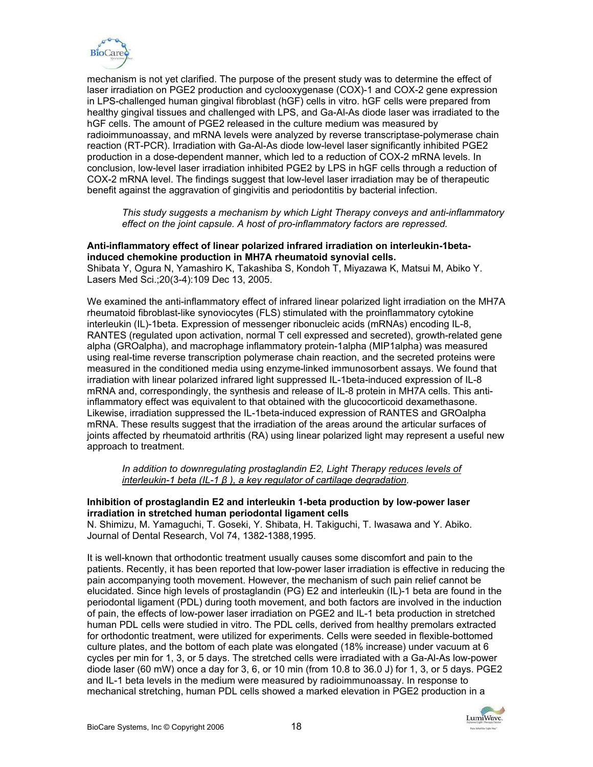

mechanism is not yet clarified. The purpose of the present study was to determine the effect of laser irradiation on PGE2 production and cyclooxygenase (COX)-1 and COX-2 gene expression in LPS-challenged human gingival fibroblast (hGF) cells in vitro. hGF cells were prepared from healthy gingival tissues and challenged with LPS, and Ga-Al-As diode laser was irradiated to the hGF cells. The amount of PGE2 released in the culture medium was measured by radioimmunoassay, and mRNA levels were analyzed by reverse transcriptase-polymerase chain reaction (RT-PCR). Irradiation with Ga-Al-As diode low-level laser significantly inhibited PGE2 production in a dose-dependent manner, which led to a reduction of COX-2 mRNA levels. In conclusion, low-level laser irradiation inhibited PGE2 by LPS in hGF cells through a reduction of COX-2 mRNA level. The findings suggest that low-level laser irradiation may be of therapeutic benefit against the aggravation of gingivitis and periodontitis by bacterial infection.

*This study suggests a mechanism by which Light Therapy conveys and anti-inflammatory effect on the joint capsule. A host of pro-inflammatory factors are repressed.* 

#### **Anti-inflammatory effect of linear polarized infrared irradiation on interleukin-1betainduced chemokine production in MH7A rheumatoid synovial cells.**

Shibata Y, Ogura N, Yamashiro K, Takashiba S, Kondoh T, Miyazawa K, Matsui M, Abiko Y. Lasers Med Sci.;20(3-4):109 Dec 13, 2005.

We examined the anti-inflammatory effect of infrared linear polarized light irradiation on the MH7A rheumatoid fibroblast-like synoviocytes (FLS) stimulated with the proinflammatory cytokine interleukin (IL)-1beta. Expression of messenger ribonucleic acids (mRNAs) encoding IL-8, RANTES (regulated upon activation, normal T cell expressed and secreted), growth-related gene alpha (GROalpha), and macrophage inflammatory protein-1alpha (MIP1alpha) was measured using real-time reverse transcription polymerase chain reaction, and the secreted proteins were measured in the conditioned media using enzyme-linked immunosorbent assays. We found that irradiation with linear polarized infrared light suppressed IL-1beta-induced expression of IL-8 mRNA and, correspondingly, the synthesis and release of IL-8 protein in MH7A cells. This antiinflammatory effect was equivalent to that obtained with the glucocorticoid dexamethasone. Likewise, irradiation suppressed the IL-1beta-induced expression of RANTES and GROalpha mRNA. These results suggest that the irradiation of the areas around the articular surfaces of joints affected by rheumatoid arthritis (RA) using linear polarized light may represent a useful new approach to treatment.

*In addition to downregulating prostaglandin E2, Light Therapy reduces levels of interleukin-1 beta (IL-1* ! *), a key regulator of cartilage degradation.* 

#### **Inhibition of prostaglandin E2 and interleukin 1-beta production by low-power laser irradiation in stretched human periodontal ligament cells**

N. Shimizu, M. Yamaguchi, T. Goseki, Y. Shibata, H. Takiguchi, T. Iwasawa and Y. Abiko. Journal of Dental Research, Vol 74, 1382-1388,1995.

It is well-known that orthodontic treatment usually causes some discomfort and pain to the patients. Recently, it has been reported that low-power laser irradiation is effective in reducing the pain accompanying tooth movement. However, the mechanism of such pain relief cannot be elucidated. Since high levels of prostaglandin (PG) E2 and interleukin (IL)-1 beta are found in the periodontal ligament (PDL) during tooth movement, and both factors are involved in the induction of pain, the effects of low-power laser irradiation on PGE2 and IL-1 beta production in stretched human PDL cells were studied in vitro. The PDL cells, derived from healthy premolars extracted for orthodontic treatment, were utilized for experiments. Cells were seeded in flexible-bottomed culture plates, and the bottom of each plate was elongated (18% increase) under vacuum at 6 cycles per min for 1, 3, or 5 days. The stretched cells were irradiated with a Ga-Al-As low-power diode laser (60 mW) once a day for 3, 6, or 10 min (from 10.8 to 36.0 J) for 1, 3, or 5 days. PGE2 and IL-1 beta levels in the medium were measured by radioimmunoassay. In response to mechanical stretching, human PDL cells showed a marked elevation in PGE2 production in a

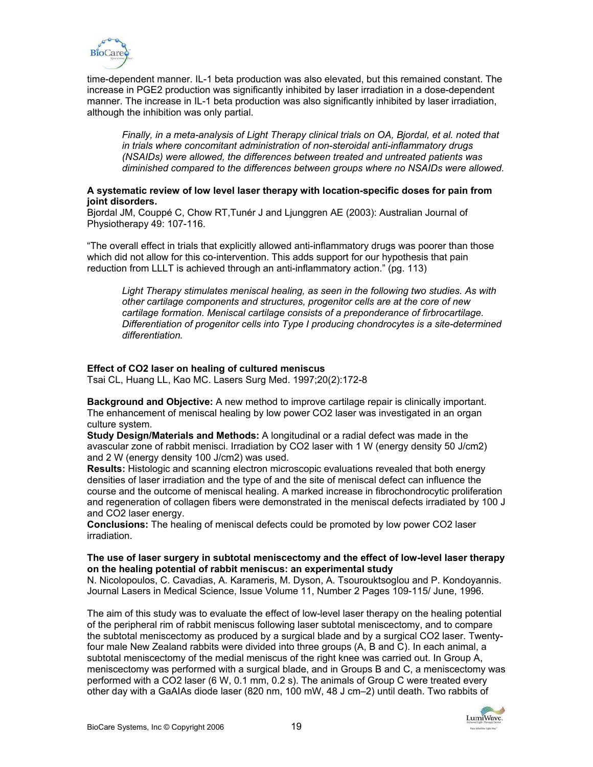

time-dependent manner. IL-1 beta production was also elevated, but this remained constant. The increase in PGE2 production was significantly inhibited by laser irradiation in a dose-dependent manner. The increase in IL-1 beta production was also significantly inhibited by laser irradiation, although the inhibition was only partial.

*Finally, in a meta-analysis of Light Therapy clinical trials on OA, Bjordal, et al. noted that in trials where concomitant administration of non-steroidal anti-inflammatory drugs (NSAIDs) were allowed, the differences between treated and untreated patients was diminished compared to the differences between groups where no NSAIDs were allowed.* 

#### **A systematic review of low level laser therapy with location-specific doses for pain from joint disorders.**

Bjordal JM, Couppé C, Chow RT,Tunér J and Ljunggren AE (2003): Australian Journal of Physiotherapy 49: 107-116.

"The overall effect in trials that explicitly allowed anti-inflammatory drugs was poorer than those which did not allow for this co-intervention. This adds support for our hypothesis that pain reduction from LLLT is achieved through an anti-inflammatory action." (pg. 113)

*Light Therapy stimulates meniscal healing, as seen in the following two studies. As with other cartilage components and structures, progenitor cells are at the core of new cartilage formation. Meniscal cartilage consists of a preponderance of firbrocartilage. Differentiation of progenitor cells into Type I producing chondrocytes is a site-determined differentiation.* 

### **Effect of CO2 laser on healing of cultured meniscus**

Tsai CL, Huang LL, Kao MC. Lasers Surg Med. 1997;20(2):172-8

**Background and Objective:** A new method to improve cartilage repair is clinically important. The enhancement of meniscal healing by low power CO2 laser was investigated in an organ culture system.

**Study Design/Materials and Methods:** A longitudinal or a radial defect was made in the avascular zone of rabbit menisci. Irradiation by CO2 laser with 1 W (energy density 50 J/cm2) and 2 W (energy density 100 J/cm2) was used.

**Results:** Histologic and scanning electron microscopic evaluations revealed that both energy densities of laser irradiation and the type of and the site of meniscal defect can influence the course and the outcome of meniscal healing. A marked increase in fibrochondrocytic proliferation and regeneration of collagen fibers were demonstrated in the meniscal defects irradiated by 100 J and CO2 laser energy.

**Conclusions:** The healing of meniscal defects could be promoted by low power CO2 laser irradiation.

#### **The use of laser surgery in subtotal meniscectomy and the effect of low-level laser therapy on the healing potential of rabbit meniscus: an experimental study**

N. Nicolopoulos, C. Cavadias, A. Karameris, M. Dyson, A. Tsourouktsoglou and P. Kondoyannis. Journal Lasers in Medical Science, Issue Volume 11, Number 2 Pages 109-115/ June, 1996.

The aim of this study was to evaluate the effect of low-level laser therapy on the healing potential of the peripheral rim of rabbit meniscus following laser subtotal meniscectomy, and to compare the subtotal meniscectomy as produced by a surgical blade and by a surgical CO2 laser. Twentyfour male New Zealand rabbits were divided into three groups (A, B and C). In each animal, a subtotal meniscectomy of the medial meniscus of the right knee was carried out. In Group A, meniscectomy was performed with a surgical blade, and in Groups B and C, a meniscectomy was performed with a CO2 laser (6 W, 0.1 mm, 0.2 s). The animals of Group C were treated every other day with a GaAIAs diode laser (820 nm, 100 mW, 48 J cm–2) until death. Two rabbits of

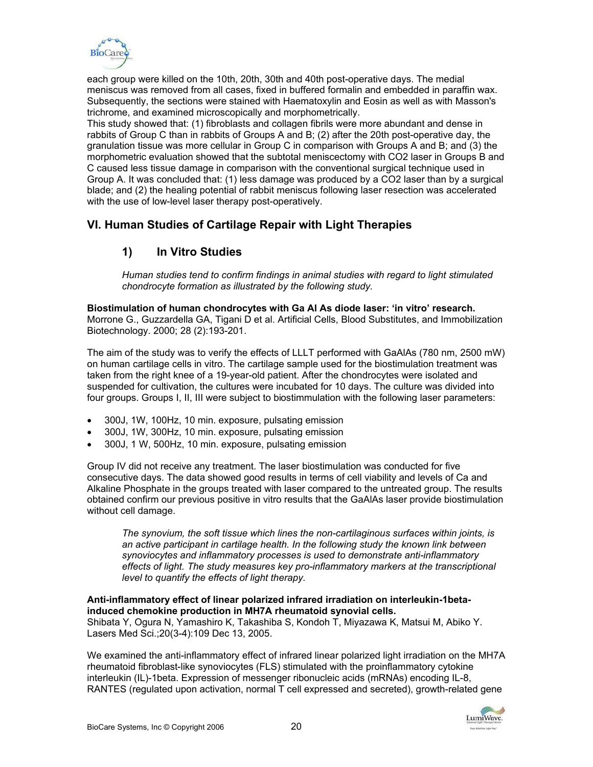

each group were killed on the 10th, 20th, 30th and 40th post-operative days. The medial meniscus was removed from all cases, fixed in buffered formalin and embedded in paraffin wax. Subsequently, the sections were stained with Haematoxylin and Eosin as well as with Masson's trichrome, and examined microscopically and morphometrically.

This study showed that: (1) fibroblasts and collagen fibrils were more abundant and dense in rabbits of Group C than in rabbits of Groups A and B; (2) after the 20th post-operative day, the granulation tissue was more cellular in Group C in comparison with Groups A and B; and (3) the morphometric evaluation showed that the subtotal meniscectomy with CO2 laser in Groups B and C caused less tissue damage in comparison with the conventional surgical technique used in Group A. It was concluded that: (1) less damage was produced by a CO2 laser than by a surgical blade; and (2) the healing potential of rabbit meniscus following laser resection was accelerated with the use of low-level laser therapy post-operatively.

# **VI. Human Studies of Cartilage Repair with Light Therapies**

# **1) In Vitro Studies**

*Human studies tend to confirm findings in animal studies with regard to light stimulated chondrocyte formation as illustrated by the following study.* 

**Biostimulation of human chondrocytes with Ga Al As diode laser: 'in vitro' research.**  Morrone G., Guzzardella GA, Tigani D et al. Artificial Cells, Blood Substitutes, and Immobilization Biotechnology. 2000; 28 (2):193-201.

The aim of the study was to verify the effects of LLLT performed with GaAlAs (780 nm, 2500 mW) on human cartilage cells in vitro. The cartilage sample used for the biostimulation treatment was taken from the right knee of a 19-year-old patient. After the chondrocytes were isolated and suspended for cultivation, the cultures were incubated for 10 days. The culture was divided into four groups. Groups I, II, III were subject to biostimmulation with the following laser parameters:

- 300J, 1W, 100Hz, 10 min. exposure, pulsating emission
- ! 300J, 1W, 300Hz, 10 min. exposure, pulsating emission
- ! 300J, 1 W, 500Hz, 10 min. exposure, pulsating emission

Group IV did not receive any treatment. The laser biostimulation was conducted for five consecutive days. The data showed good results in terms of cell viability and levels of Ca and Alkaline Phosphate in the groups treated with laser compared to the untreated group. The results obtained confirm our previous positive in vitro results that the GaAlAs laser provide biostimulation without cell damage.

*The synovium, the soft tissue which lines the non-cartilaginous surfaces within joints, is an active participant in cartilage health. In the following study the known link between synoviocytes and inflammatory processes is used to demonstrate anti-inflammatory effects of light. The study measures key pro-inflammatory markers at the transcriptional level to quantify the effects of light therapy.* 

#### **Anti-inflammatory effect of linear polarized infrared irradiation on interleukin-1betainduced chemokine production in MH7A rheumatoid synovial cells.**

Shibata Y, Ogura N, Yamashiro K, Takashiba S, Kondoh T, Miyazawa K, Matsui M, Abiko Y. Lasers Med Sci.;20(3-4):109 Dec 13, 2005.

We examined the anti-inflammatory effect of infrared linear polarized light irradiation on the MH7A rheumatoid fibroblast-like synoviocytes (FLS) stimulated with the proinflammatory cytokine interleukin (IL)-1beta. Expression of messenger ribonucleic acids (mRNAs) encoding IL-8, RANTES (regulated upon activation, normal T cell expressed and secreted), growth-related gene

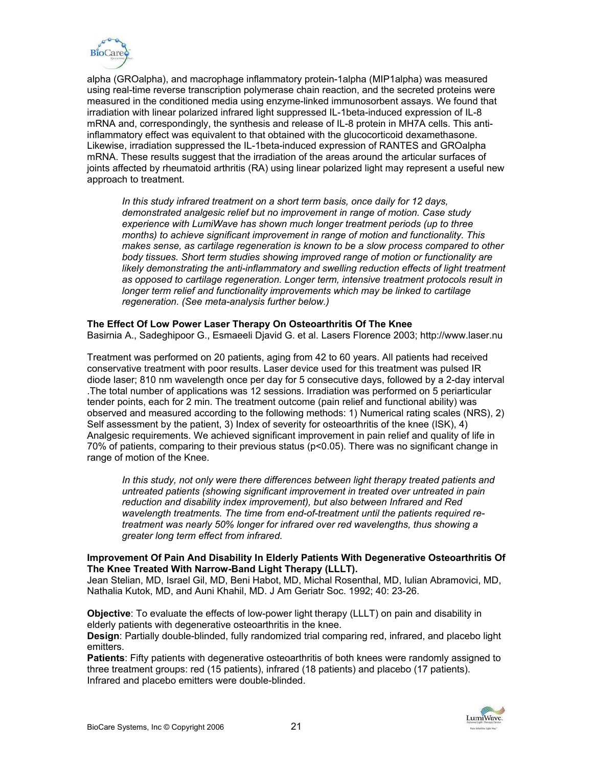

alpha (GROalpha), and macrophage inflammatory protein-1alpha (MIP1alpha) was measured using real-time reverse transcription polymerase chain reaction, and the secreted proteins were measured in the conditioned media using enzyme-linked immunosorbent assays. We found that irradiation with linear polarized infrared light suppressed IL-1beta-induced expression of IL-8 mRNA and, correspondingly, the synthesis and release of IL-8 protein in MH7A cells. This antiinflammatory effect was equivalent to that obtained with the glucocorticoid dexamethasone. Likewise, irradiation suppressed the IL-1beta-induced expression of RANTES and GROalpha mRNA. These results suggest that the irradiation of the areas around the articular surfaces of joints affected by rheumatoid arthritis (RA) using linear polarized light may represent a useful new approach to treatment.

*In this study infrared treatment on a short term basis, once daily for 12 days, demonstrated analgesic relief but no improvement in range of motion. Case study experience with LumiWave has shown much longer treatment periods (up to three months) to achieve significant improvement in range of motion and functionality. This makes sense, as cartilage regeneration is known to be a slow process compared to other body tissues. Short term studies showing improved range of motion or functionality are likely demonstrating the anti-inflammatory and swelling reduction effects of light treatment as opposed to cartilage regeneration. Longer term, intensive treatment protocols result in longer term relief and functionality improvements which may be linked to cartilage regeneration. (See meta-analysis further below.)* 

### **The Effect Of Low Power Laser Therapy On Osteoarthritis Of The Knee**

Basirnia A., Sadeghipoor G., Esmaeeli Djavid G. et al. Lasers Florence 2003; http://www.laser.nu

Treatment was performed on 20 patients, aging from 42 to 60 years. All patients had received conservative treatment with poor results. Laser device used for this treatment was pulsed IR diode laser; 810 nm wavelength once per day for 5 consecutive days, followed by a 2-day interval .The total number of applications was 12 sessions. Irradiation was performed on 5 periarticular tender points, each for 2 min. The treatment outcome (pain relief and functional ability) was observed and measured according to the following methods: 1) Numerical rating scales (NRS), 2) Self assessment by the patient, 3) Index of severity for osteoarthritis of the knee (ISK), 4) Analgesic requirements. We achieved significant improvement in pain relief and quality of life in 70% of patients, comparing to their previous status (p<0.05). There was no significant change in range of motion of the Knee.

*In this study, not only were there differences between light therapy treated patients and untreated patients (showing significant improvement in treated over untreated in pain reduction and disability index improvement), but also between Infrared and Red wavelength treatments. The time from end-of-treatment until the patients required retreatment was nearly 50% longer for infrared over red wavelengths, thus showing a greater long term effect from infrared.* 

#### **Improvement Of Pain And Disability In Elderly Patients With Degenerative Osteoarthritis Of The Knee Treated With Narrow-Band Light Therapy (LLLT).**

Jean Stelian, MD, Israel Gil, MD, Beni Habot, MD, Michal Rosenthal, MD, Iulian Abramovici, MD, Nathalia Kutok, MD, and Auni Khahil, MD. J Am Geriatr Soc. 1992; 40: 23-26.

**Objective**: To evaluate the effects of low-power light therapy (LLLT) on pain and disability in elderly patients with degenerative osteoarthritis in the knee.

**Design**: Partially double-blinded, fully randomized trial comparing red, infrared, and placebo light emitters.

**Patients**: Fifty patients with degenerative osteoarthritis of both knees were randomly assigned to three treatment groups: red (15 patients), infrared (18 patients) and placebo (17 patients). Infrared and placebo emitters were double-blinded.

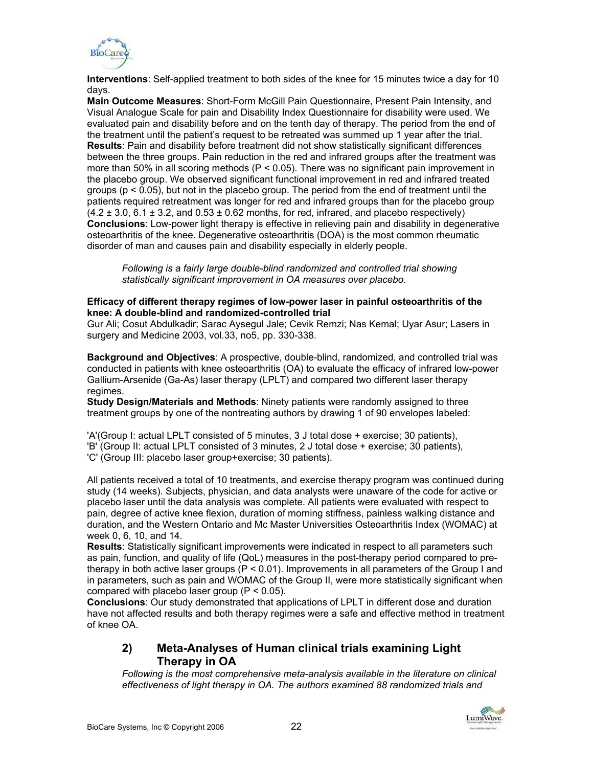

**Interventions**: Self-applied treatment to both sides of the knee for 15 minutes twice a day for 10 days.

**Main Outcome Measures**: Short-Form McGill Pain Questionnaire, Present Pain Intensity, and Visual Analogue Scale for pain and Disability Index Questionnaire for disability were used. We evaluated pain and disability before and on the tenth day of therapy. The period from the end of the treatment until the patient's request to be retreated was summed up 1 year after the trial. **Results**: Pain and disability before treatment did not show statistically significant differences between the three groups. Pain reduction in the red and infrared groups after the treatment was more than 50% in all scoring methods ( $P < 0.05$ ). There was no significant pain improvement in the placebo group. We observed significant functional improvement in red and infrared treated groups ( $p < 0.05$ ), but not in the placebo group. The period from the end of treatment until the patients required retreatment was longer for red and infrared groups than for the placebo group  $(4.2 \pm 3.0, 6.1 \pm 3.2,$  and  $0.53 \pm 0.62$  months, for red, infrared, and placebo respectively) **Conclusions**: Low-power light therapy is effective in relieving pain and disability in degenerative osteoarthritis of the knee. Degenerative osteoarthritis (DOA) is the most common rheumatic disorder of man and causes pain and disability especially in elderly people.

*Following is a fairly large double-blind randomized and controlled trial showing statistically significant improvement in OA measures over placebo.* 

#### **Efficacy of different therapy regimes of low-power laser in painful osteoarthritis of the knee: A double-blind and randomized-controlled trial**

Gur Ali; Cosut Abdulkadir; Sarac Aysegul Jale; Cevik Remzi; Nas Kemal; Uyar Asur; Lasers in surgery and Medicine 2003, vol.33, no5, pp. 330-338.

**Background and Objectives**: A prospective, double-blind, randomized, and controlled trial was conducted in patients with knee osteoarthritis (OA) to evaluate the efficacy of infrared low-power Gallium-Arsenide (Ga-As) laser therapy (LPLT) and compared two different laser therapy regimes.

**Study Design/Materials and Methods**: Ninety patients were randomly assigned to three treatment groups by one of the nontreating authors by drawing 1 of 90 envelopes labeled:

'A'(Group I: actual LPLT consisted of 5 minutes, 3 J total dose + exercise; 30 patients), 'B' (Group II: actual LPLT consisted of 3 minutes, 2 J total dose + exercise; 30 patients), 'C' (Group III: placebo laser group+exercise; 30 patients).

All patients received a total of 10 treatments, and exercise therapy program was continued during study (14 weeks). Subjects, physician, and data analysts were unaware of the code for active or placebo laser until the data analysis was complete. All patients were evaluated with respect to pain, degree of active knee flexion, duration of morning stiffness, painless walking distance and duration, and the Western Ontario and Mc Master Universities Osteoarthritis Index (WOMAC) at week 0, 6, 10, and 14.

**Results**: Statistically significant improvements were indicated in respect to all parameters such as pain, function, and quality of life (QoL) measures in the post-therapy period compared to pretherapy in both active laser groups ( $P < 0.01$ ). Improvements in all parameters of the Group I and in parameters, such as pain and WOMAC of the Group II, were more statistically significant when compared with placebo laser group (P < 0.05).

**Conclusions**: Our study demonstrated that applications of LPLT in different dose and duration have not affected results and both therapy regimes were a safe and effective method in treatment of knee OA.

# **2) Meta-Analyses of Human clinical trials examining Light Therapy in OA**

*Following is the most comprehensive meta-analysis available in the literature on clinical effectiveness of light therapy in OA. The authors examined 88 randomized trials and* 

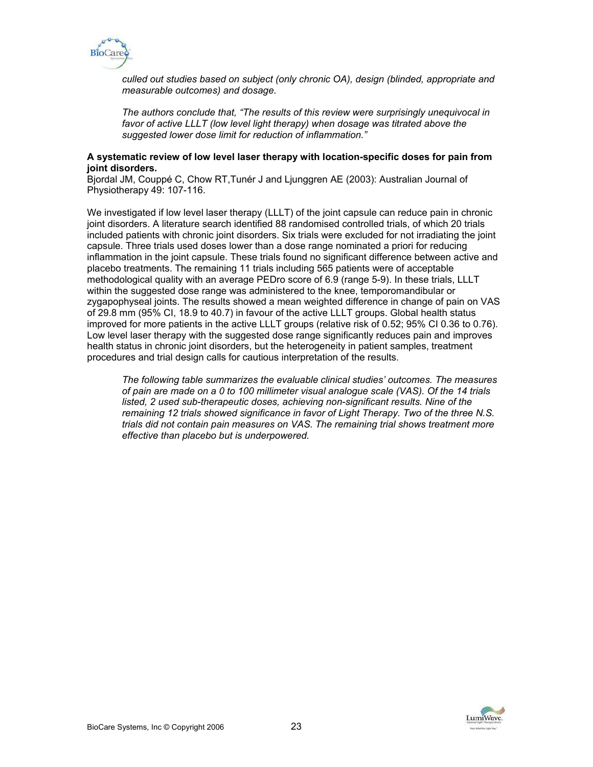

*culled out studies based on subject (only chronic OA), design (blinded, appropriate and measurable outcomes) and dosage.* 

*The authors conclude that, "The results of this review were surprisingly unequivocal in favor of active LLLT (low level light therapy) when dosage was titrated above the suggested lower dose limit for reduction of inflammation."* 

#### **A systematic review of low level laser therapy with location-specific doses for pain from joint disorders.**

Bjordal JM, Couppé C, Chow RT,Tunér J and Ljunggren AE (2003): Australian Journal of Physiotherapy 49: 107-116.

We investigated if low level laser therapy (LLLT) of the joint capsule can reduce pain in chronic joint disorders. A literature search identified 88 randomised controlled trials, of which 20 trials included patients with chronic joint disorders. Six trials were excluded for not irradiating the joint capsule. Three trials used doses lower than a dose range nominated a priori for reducing inflammation in the joint capsule. These trials found no significant difference between active and placebo treatments. The remaining 11 trials including 565 patients were of acceptable methodological quality with an average PEDro score of 6.9 (range 5-9). In these trials, LLLT within the suggested dose range was administered to the knee, temporomandibular or zygapophyseal joints. The results showed a mean weighted difference in change of pain on VAS of 29.8 mm (95% CI, 18.9 to 40.7) in favour of the active LLLT groups. Global health status improved for more patients in the active LLLT groups (relative risk of 0.52; 95% CI 0.36 to 0.76). Low level laser therapy with the suggested dose range significantly reduces pain and improves health status in chronic joint disorders, but the heterogeneity in patient samples, treatment procedures and trial design calls for cautious interpretation of the results.

*The following table summarizes the evaluable clinical studies' outcomes. The measures of pain are made on a 0 to 100 millimeter visual analogue scale (VAS). Of the 14 trials listed, 2 used sub-therapeutic doses, achieving non-significant results. Nine of the remaining 12 trials showed significance in favor of Light Therapy. Two of the three N.S. trials did not contain pain measures on VAS. The remaining trial shows treatment more effective than placebo but is underpowered.* 

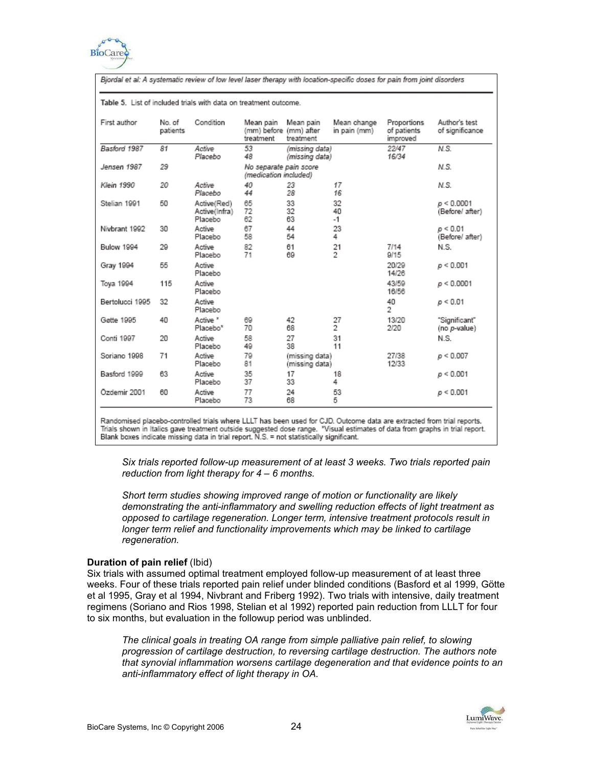

Bjordal et al: A systematic review of low level laser therapy with location-specific doses for pain from joint disorders

| First author      | No. of<br>patients | Condition                                   | Mean pain<br>(mm) before (mm) after<br>treatment | Mean pain<br>treatment           | Mean change<br>in pain (mm) | Proportions<br>of patients<br>improved | Author's test<br>of significance   |
|-------------------|--------------------|---------------------------------------------|--------------------------------------------------|----------------------------------|-----------------------------|----------------------------------------|------------------------------------|
| Basford 1987      | 81                 | Active<br>Placebo                           | 53<br>48                                         | (missing data)<br>(missing data) |                             | 22/47<br>16/34                         | N.S.                               |
| Jensen 1987       | 29                 |                                             | No separate pain score<br>(medication included)  |                                  |                             |                                        | N S                                |
| Klein 1990        | 20                 | Active<br>Placebo                           | 40<br>44                                         | 23<br>28                         | 17<br>16                    |                                        | N.S.                               |
| Stelian 1991      | 50                 | Active(Red)<br>Active(Infra)<br>Placebo     | 65<br>72<br>62                                   | 33<br>32<br>63                   | 32<br>40<br>-1              |                                        | $\rho < 0.0001$<br>(Before/ after) |
| Nivbrant 1992     | 30                 | Active<br>Placebo                           | 67<br>58                                         | 44<br>54                         | 23<br>4                     |                                        | p < 0.01<br>(Before/ after)        |
| <b>Bulow 1994</b> | 29                 | Active<br>Placebo                           | 82<br>71                                         | 61<br>69                         | 21<br>2                     | 7/14<br>9/15                           | N.S.                               |
| Gray 1994         | 55                 | Active<br>Placebo                           |                                                  |                                  |                             | 20/29<br>14/26                         | p < 0.001                          |
| Toya 1994         | 115                | Active<br>Placebo                           |                                                  |                                  |                             | 43/59<br>16/56                         | p < 0.0001                         |
| Bertolucci 1995   | 32                 | Active<br>Placebo                           |                                                  |                                  |                             | 40<br>2                                | $\rho < 0.01$                      |
| Gette 1995        | 40                 | Active <sup>x</sup><br>Placebo <sup>x</sup> | 69<br>70                                         | 42<br>68                         | 27<br>2                     | 13/20<br>2/20                          | "Significant"<br>(no p-value)      |
| Conti 1997        | 20                 | Active<br>Placebo                           | 58<br>49                                         | 27<br>38                         | 31<br>11                    |                                        | N.S.                               |
| Soriano 1998      | 71                 | Active<br>Placebo                           | 79<br>81                                         | (missing data)<br>(missing data) |                             | 27/38<br>12/33                         | p < 0.007                          |
| Basford 1999      | 63                 | Active<br>Placebo                           | 35<br>37                                         | 17<br>33                         | 18<br>4                     |                                        | p < 0.001                          |
| Özdemir 2001      | 60                 | Active<br>Placebo                           | 77<br>73                                         | 24<br>68                         | 53<br>5                     |                                        | p < 0.001                          |

Table 5. List of included trials with data on treatment outcome.

Randomised placebo-controlled trials where LLLT has been used for CJD. Outcome data are extracted from trial reports.<br>Trials shown in Italics gave treatment outside suggested dose range. "Visual estimates of data from grap Blank boxes indicate missing data in trial report. N.S. = not statistically significant.

*Six trials reported follow-up measurement of at least 3 weeks. Two trials reported pain reduction from light therapy for 4 – 6 months.* 

*Short term studies showing improved range of motion or functionality are likely demonstrating the anti-inflammatory and swelling reduction effects of light treatment as opposed to cartilage regeneration. Longer term, intensive treatment protocols result in longer term relief and functionality improvements which may be linked to cartilage regeneration.* 

#### **Duration of pain relief (Ibid)**

Six trials with assumed optimal treatment employed follow-up measurement of at least three weeks. Four of these trials reported pain relief under blinded conditions (Basford et al 1999, Götte et al 1995, Gray et al 1994, Nivbrant and Friberg 1992). Two trials with intensive, daily treatment regimens (Soriano and Rios 1998, Stelian et al 1992) reported pain reduction from LLLT for four to six months, but evaluation in the followup period was unblinded.

*The clinical goals in treating OA range from simple palliative pain relief, to slowing progression of cartilage destruction, to reversing cartilage destruction. The authors note that synovial inflammation worsens cartilage degeneration and that evidence points to an anti-inflammatory effect of light therapy in OA.* 

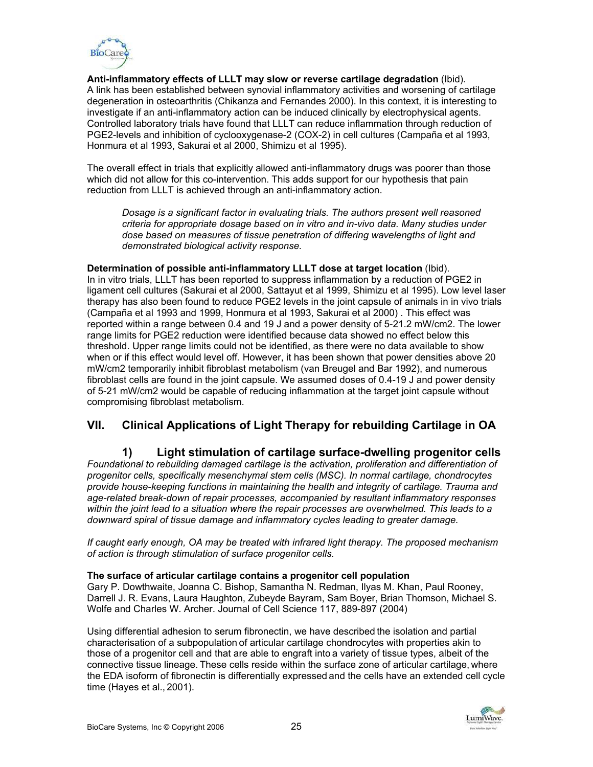

**Anti-inflammatory effects of LLLT may slow or reverse cartilage degradation** (Ibid). A link has been established between synovial inflammatory activities and worsening of cartilage degeneration in osteoarthritis (Chikanza and Fernandes 2000). In this context, it is interesting to investigate if an anti-inflammatory action can be induced clinically by electrophysical agents. Controlled laboratory trials have found that LLLT can reduce inflammation through reduction of PGE2-levels and inhibition of cyclooxygenase-2 (COX-2) in cell cultures (Campaña et al 1993, Honmura et al 1993, Sakurai et al 2000, Shimizu et al 1995).

The overall effect in trials that explicitly allowed anti-inflammatory drugs was poorer than those which did not allow for this co-intervention. This adds support for our hypothesis that pain reduction from LLLT is achieved through an anti-inflammatory action.

*Dosage is a significant factor in evaluating trials. The authors present well reasoned criteria for appropriate dosage based on in vitro and in-vivo data. Many studies under dose based on measures of tissue penetration of differing wavelengths of light and demonstrated biological activity response.* 

**Determination of possible anti-inflammatory LLLT dose at target location** (Ibid). In in vitro trials, LLLT has been reported to suppress inflammation by a reduction of PGE2 in ligament cell cultures (Sakurai et al 2000, Sattayut et al 1999, Shimizu et al 1995). Low level laser therapy has also been found to reduce PGE2 levels in the joint capsule of animals in in vivo trials (Campaña et al 1993 and 1999, Honmura et al 1993, Sakurai et al 2000) . This effect was reported within a range between 0.4 and 19 J and a power density of 5-21.2 mW/cm2. The lower range limits for PGE2 reduction were identified because data showed no effect below this threshold. Upper range limits could not be identified, as there were no data available to show when or if this effect would level off. However, it has been shown that power densities above 20 mW/cm2 temporarily inhibit fibroblast metabolism (van Breugel and Bar 1992), and numerous fibroblast cells are found in the joint capsule. We assumed doses of 0.4-19 J and power density of 5-21 mW/cm2 would be capable of reducing inflammation at the target joint capsule without compromising fibroblast metabolism.

# **VII. Clinical Applications of Light Therapy for rebuilding Cartilage in OA**

# **1) Light stimulation of cartilage surface-dwelling progenitor cells**

*Foundational to rebuilding damaged cartilage is the activation, proliferation and differentiation of progenitor cells, specifically mesenchymal stem cells (MSC). In normal cartilage, chondrocytes provide house-keeping functions in maintaining the health and integrity of cartilage. Trauma and age-related break-down of repair processes, accompanied by resultant inflammatory responses within the joint lead to a situation where the repair processes are overwhelmed. This leads to a downward spiral of tissue damage and inflammatory cycles leading to greater damage.* 

*If caught early enough, OA may be treated with infrared light therapy. The proposed mechanism of action is through stimulation of surface progenitor cells.* 

#### **The surface of articular cartilage contains a progenitor cell population**

Gary P. Dowthwaite, Joanna C. Bishop, Samantha N. Redman, Ilyas M. Khan, Paul Rooney, Darrell J. R. Evans, Laura Haughton, Zubeyde Bayram, Sam Boyer, Brian Thomson, Michael S. Wolfe and Charles W. Archer. Journal of Cell Science 117, 889-897 (2004)

Using differential adhesion to serum fibronectin, we have described the isolation and partial characterisation of a subpopulation of articular cartilage chondrocytes with properties akin to those of a progenitor cell and that are able to engraft into a variety of tissue types, albeit of the connective tissue lineage. These cells reside within the surface zone of articular cartilage, where the EDA isoform of fibronectin is differentially expressed and the cells have an extended cell cycle time (Hayes et al., 2001).

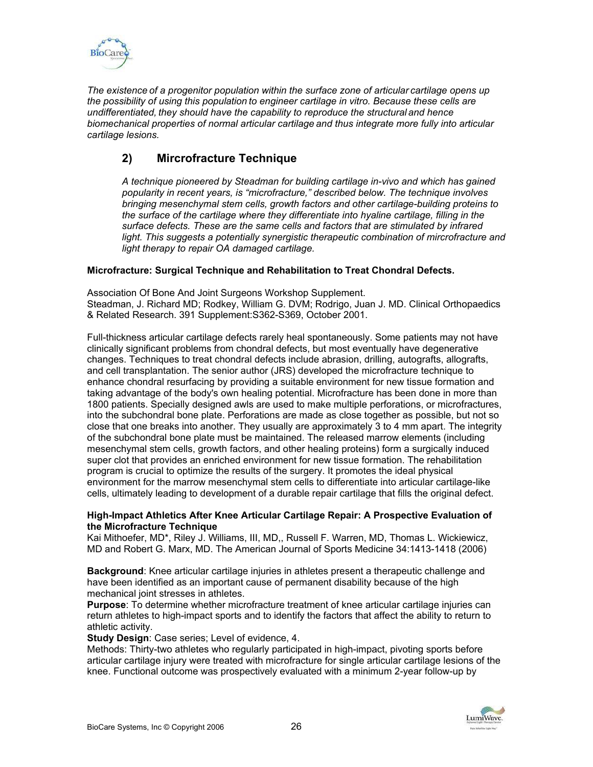

*The existence of a progenitor population within the surface zone of articular cartilage opens up the possibility of using this population to engineer cartilage in vitro. Because these cells are undifferentiated, they should have the capability to reproduce the structural and hence biomechanical properties of normal articular cartilage and thus integrate more fully into articular cartilage lesions.* 

# **2) Mircrofracture Technique**

*A technique pioneered by Steadman for building cartilage in-vivo and which has gained popularity in recent years, is "microfracture," described below. The technique involves bringing mesenchymal stem cells, growth factors and other cartilage-building proteins to the surface of the cartilage where they differentiate into hyaline cartilage, filling in the surface defects. These are the same cells and factors that are stimulated by infrared*  light. This suggests a potentially synergistic therapeutic combination of mircrofracture and *light therapy to repair OA damaged cartilage.* 

## **Microfracture: Surgical Technique and Rehabilitation to Treat Chondral Defects.**

Association Of Bone And Joint Surgeons Workshop Supplement. Steadman, J. Richard MD; Rodkey, William G. DVM; Rodrigo, Juan J. MD. Clinical Orthopaedics & Related Research. 391 Supplement:S362-S369, October 2001.

Full-thickness articular cartilage defects rarely heal spontaneously. Some patients may not have clinically significant problems from chondral defects, but most eventually have degenerative changes. Techniques to treat chondral defects include abrasion, drilling, autografts, allografts, and cell transplantation. The senior author (JRS) developed the microfracture technique to enhance chondral resurfacing by providing a suitable environment for new tissue formation and taking advantage of the body's own healing potential. Microfracture has been done in more than 1800 patients. Specially designed awls are used to make multiple perforations, or microfractures, into the subchondral bone plate. Perforations are made as close together as possible, but not so close that one breaks into another. They usually are approximately 3 to 4 mm apart. The integrity of the subchondral bone plate must be maintained. The released marrow elements (including mesenchymal stem cells, growth factors, and other healing proteins) form a surgically induced super clot that provides an enriched environment for new tissue formation. The rehabilitation program is crucial to optimize the results of the surgery. It promotes the ideal physical environment for the marrow mesenchymal stem cells to differentiate into articular cartilage-like cells, ultimately leading to development of a durable repair cartilage that fills the original defect.

#### **High-Impact Athletics After Knee Articular Cartilage Repair: A Prospective Evaluation of the Microfracture Technique**

Kai Mithoefer, MD\*, Riley J. Williams, III, MD,, Russell F. Warren, MD, Thomas L. Wickiewicz, MD and Robert G. Marx, MD. The American Journal of Sports Medicine 34:1413-1418 (2006)

**Background**: Knee articular cartilage injuries in athletes present a therapeutic challenge and have been identified as an important cause of permanent disability because of the high mechanical joint stresses in athletes.

**Purpose**: To determine whether microfracture treatment of knee articular cartilage injuries can return athletes to high-impact sports and to identify the factors that affect the ability to return to athletic activity.

**Study Design**: Case series; Level of evidence, 4.

Methods: Thirty-two athletes who regularly participated in high-impact, pivoting sports before articular cartilage injury were treated with microfracture for single articular cartilage lesions of the knee. Functional outcome was prospectively evaluated with a minimum 2-year follow-up by

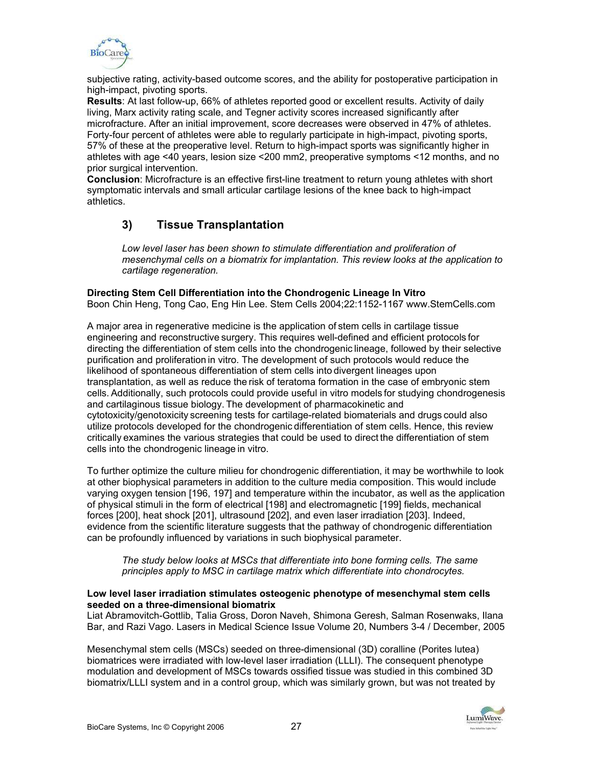

subjective rating, activity-based outcome scores, and the ability for postoperative participation in high-impact, pivoting sports.

**Results**: At last follow-up, 66% of athletes reported good or excellent results. Activity of daily living, Marx activity rating scale, and Tegner activity scores increased significantly after microfracture. After an initial improvement, score decreases were observed in 47% of athletes. Forty-four percent of athletes were able to regularly participate in high-impact, pivoting sports, 57% of these at the preoperative level. Return to high-impact sports was significantly higher in athletes with age <40 years, lesion size <200 mm2, preoperative symptoms <12 months, and no prior surgical intervention.

**Conclusion**: Microfracture is an effective first-line treatment to return young athletes with short symptomatic intervals and small articular cartilage lesions of the knee back to high-impact athletics.

# **3) Tissue Transplantation**

*Low level laser has been shown to stimulate differentiation and proliferation of mesenchymal cells on a biomatrix for implantation. This review looks at the application to cartilage regeneration.* 

**Directing Stem Cell Differentiation into the Chondrogenic Lineage In Vitro**  Boon Chin Heng, Tong Cao, Eng Hin Lee. Stem Cells 2004;22:1152-1167 www.StemCells.com

A major area in regenerative medicine is the application of stem cells in cartilage tissue engineering and reconstructive surgery. This requires well-defined and efficient protocols for directing the differentiation of stem cells into the chondrogenic lineage, followed by their selective purification and proliferation in vitro. The development of such protocols would reduce the likelihood of spontaneous differentiation of stem cells into divergent lineages upon transplantation, as well as reduce the risk of teratoma formation in the case of embryonic stem cells. Additionally, such protocols could provide useful in vitro models for studying chondrogenesis and cartilaginous tissue biology. The development of pharmacokinetic and cytotoxicity/genotoxicity screening tests for cartilage-related biomaterials and drugs could also utilize protocols developed for the chondrogenic differentiation of stem cells. Hence, this review critically examines the various strategies that could be used to direct the differentiation of stem cells into the chondrogenic lineage in vitro.

To further optimize the culture milieu for chondrogenic differentiation, it may be worthwhile to look at other biophysical parameters in addition to the culture media composition. This would include varying oxygen tension [196, 197] and temperature within the incubator, as well as the application of physical stimuli in the form of electrical [198] and electromagnetic [199] fields, mechanical forces [200], heat shock [201], ultrasound [202], and even laser irradiation [203]. Indeed, evidence from the scientific literature suggests that the pathway of chondrogenic differentiation can be profoundly influenced by variations in such biophysical parameter.

*The study below looks at MSCs that differentiate into bone forming cells. The same principles apply to MSC in cartilage matrix which differentiate into chondrocytes.* 

### **Low level laser irradiation stimulates osteogenic phenotype of mesenchymal stem cells seeded on a three-dimensional biomatrix**

Liat Abramovitch-Gottlib, Talia Gross, Doron Naveh, Shimona Geresh, Salman Rosenwaks, Ilana Bar, and Razi Vago. Lasers in Medical Science Issue Volume 20, Numbers 3-4 / December, 2005

Mesenchymal stem cells (MSCs) seeded on three-dimensional (3D) coralline (Porites lutea) biomatrices were irradiated with low-level laser irradiation (LLLI). The consequent phenotype modulation and development of MSCs towards ossified tissue was studied in this combined 3D biomatrix/LLLI system and in a control group, which was similarly grown, but was not treated by